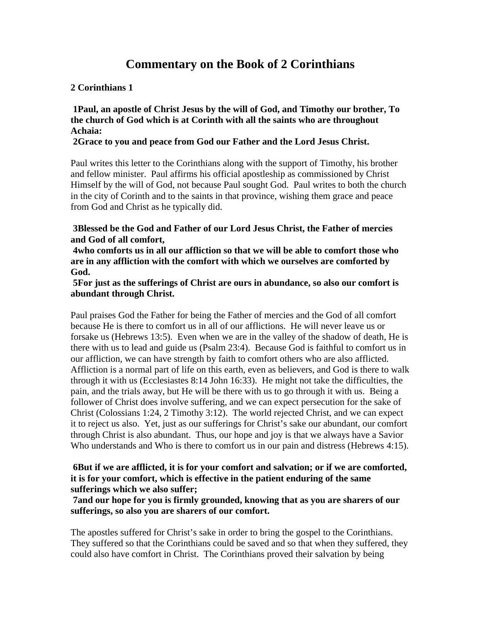# **Commentary on the Book of 2 Corinthians**

# **2 Corinthians 1**

**1Paul, an apostle of Christ Jesus by the will of God, and Timothy our brother, To the church of God which is at Corinth with all the saints who are throughout Achaia:** 

### **2Grace to you and peace from God our Father and the Lord Jesus Christ.**

Paul writes this letter to the Corinthians along with the support of Timothy, his brother and fellow minister. Paul affirms his official apostleship as commissioned by Christ Himself by the will of God, not because Paul sought God. Paul writes to both the church in the city of Corinth and to the saints in that province, wishing them grace and peace from God and Christ as he typically did.

**3Blessed be the God and Father of our Lord Jesus Christ, the Father of mercies and God of all comfort,** 

**4who comforts us in all our affliction so that we will be able to comfort those who are in any affliction with the comfort with which we ourselves are comforted by God.** 

### **5For just as the sufferings of Christ are ours in abundance, so also our comfort is abundant through Christ.**

Paul praises God the Father for being the Father of mercies and the God of all comfort because He is there to comfort us in all of our afflictions. He will never leave us or forsake us (Hebrews 13:5). Even when we are in the valley of the shadow of death, He is there with us to lead and guide us (Psalm 23:4). Because God is faithful to comfort us in our affliction, we can have strength by faith to comfort others who are also afflicted. Affliction is a normal part of life on this earth, even as believers, and God is there to walk through it with us (Ecclesiastes 8:14 John 16:33). He might not take the difficulties, the pain, and the trials away, but He will be there with us to go through it with us. Being a follower of Christ does involve suffering, and we can expect persecution for the sake of Christ (Colossians 1:24, 2 Timothy 3:12). The world rejected Christ, and we can expect it to reject us also. Yet, just as our sufferings for Christ's sake our abundant, our comfort through Christ is also abundant. Thus, our hope and joy is that we always have a Savior Who understands and Who is there to comfort us in our pain and distress (Hebrews 4:15).

### **6But if we are afflicted, it is for your comfort and salvation; or if we are comforted, it is for your comfort, which is effective in the patient enduring of the same sufferings which we also suffer;**

# **7and our hope for you is firmly grounded, knowing that as you are sharers of our sufferings, so also you are sharers of our comfort.**

The apostles suffered for Christ's sake in order to bring the gospel to the Corinthians. They suffered so that the Corinthians could be saved and so that when they suffered, they could also have comfort in Christ. The Corinthians proved their salvation by being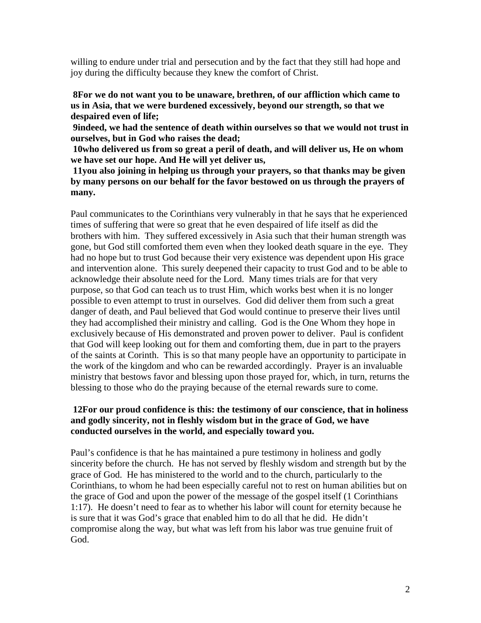willing to endure under trial and persecution and by the fact that they still had hope and joy during the difficulty because they knew the comfort of Christ.

**8For we do not want you to be unaware, brethren, of our affliction which came to us in Asia, that we were burdened excessively, beyond our strength, so that we despaired even of life;** 

**9indeed, we had the sentence of death within ourselves so that we would not trust in ourselves, but in God who raises the dead;** 

**10who delivered us from so great a peril of death, and will deliver us, He on whom we have set our hope. And He will yet deliver us,** 

**11you also joining in helping us through your prayers, so that thanks may be given by many persons on our behalf for the favor bestowed on us through the prayers of many.** 

Paul communicates to the Corinthians very vulnerably in that he says that he experienced times of suffering that were so great that he even despaired of life itself as did the brothers with him. They suffered excessively in Asia such that their human strength was gone, but God still comforted them even when they looked death square in the eye. They had no hope but to trust God because their very existence was dependent upon His grace and intervention alone. This surely deepened their capacity to trust God and to be able to acknowledge their absolute need for the Lord. Many times trials are for that very purpose, so that God can teach us to trust Him, which works best when it is no longer possible to even attempt to trust in ourselves. God did deliver them from such a great danger of death, and Paul believed that God would continue to preserve their lives until they had accomplished their ministry and calling. God is the One Whom they hope in exclusively because of His demonstrated and proven power to deliver. Paul is confident that God will keep looking out for them and comforting them, due in part to the prayers of the saints at Corinth. This is so that many people have an opportunity to participate in the work of the kingdom and who can be rewarded accordingly. Prayer is an invaluable ministry that bestows favor and blessing upon those prayed for, which, in turn, returns the blessing to those who do the praying because of the eternal rewards sure to come.

# **12For our proud confidence is this: the testimony of our conscience, that in holiness and godly sincerity, not in fleshly wisdom but in the grace of God, we have conducted ourselves in the world, and especially toward you.**

Paul's confidence is that he has maintained a pure testimony in holiness and godly sincerity before the church. He has not served by fleshly wisdom and strength but by the grace of God. He has ministered to the world and to the church, particularly to the Corinthians, to whom he had been especially careful not to rest on human abilities but on the grace of God and upon the power of the message of the gospel itself (1 Corinthians 1:17). He doesn't need to fear as to whether his labor will count for eternity because he is sure that it was God's grace that enabled him to do all that he did. He didn't compromise along the way, but what was left from his labor was true genuine fruit of God.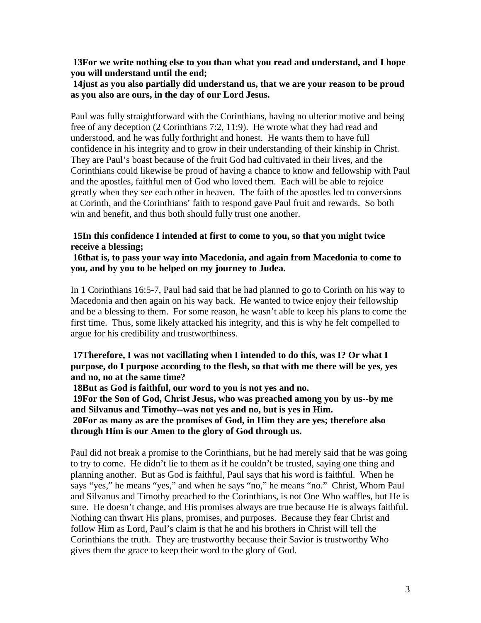**13For we write nothing else to you than what you read and understand, and I hope you will understand until the end;** 

**14just as you also partially did understand us, that we are your reason to be proud as you also are ours, in the day of our Lord Jesus.** 

Paul was fully straightforward with the Corinthians, having no ulterior motive and being free of any deception (2 Corinthians 7:2, 11:9). He wrote what they had read and understood, and he was fully forthright and honest. He wants them to have full confidence in his integrity and to grow in their understanding of their kinship in Christ. They are Paul's boast because of the fruit God had cultivated in their lives, and the Corinthians could likewise be proud of having a chance to know and fellowship with Paul and the apostles, faithful men of God who loved them. Each will be able to rejoice greatly when they see each other in heaven. The faith of the apostles led to conversions at Corinth, and the Corinthians' faith to respond gave Paul fruit and rewards. So both win and benefit, and thus both should fully trust one another.

#### **15In this confidence I intended at first to come to you, so that you might twice receive a blessing;**

**16that is, to pass your way into Macedonia, and again from Macedonia to come to you, and by you to be helped on my journey to Judea.** 

In 1 Corinthians 16:5-7, Paul had said that he had planned to go to Corinth on his way to Macedonia and then again on his way back. He wanted to twice enjoy their fellowship and be a blessing to them. For some reason, he wasn't able to keep his plans to come the first time. Thus, some likely attacked his integrity, and this is why he felt compelled to argue for his credibility and trustworthiness.

**17Therefore, I was not vacillating when I intended to do this, was I? Or what I purpose, do I purpose according to the flesh, so that with me there will be yes, yes and no, no at the same time?** 

**18But as God is faithful, our word to you is not yes and no.** 

**19For the Son of God, Christ Jesus, who was preached among you by us--by me and Silvanus and Timothy--was not yes and no, but is yes in Him.** 

**20For as many as are the promises of God, in Him they are yes; therefore also through Him is our Amen to the glory of God through us.** 

Paul did not break a promise to the Corinthians, but he had merely said that he was going to try to come. He didn't lie to them as if he couldn't be trusted, saying one thing and planning another. But as God is faithful, Paul says that his word is faithful. When he says "yes," he means "yes," and when he says "no," he means "no." Christ, Whom Paul and Silvanus and Timothy preached to the Corinthians, is not One Who waffles, but He is sure. He doesn't change, and His promises always are true because He is always faithful. Nothing can thwart His plans, promises, and purposes. Because they fear Christ and follow Him as Lord, Paul's claim is that he and his brothers in Christ will tell the Corinthians the truth. They are trustworthy because their Savior is trustworthy Who gives them the grace to keep their word to the glory of God.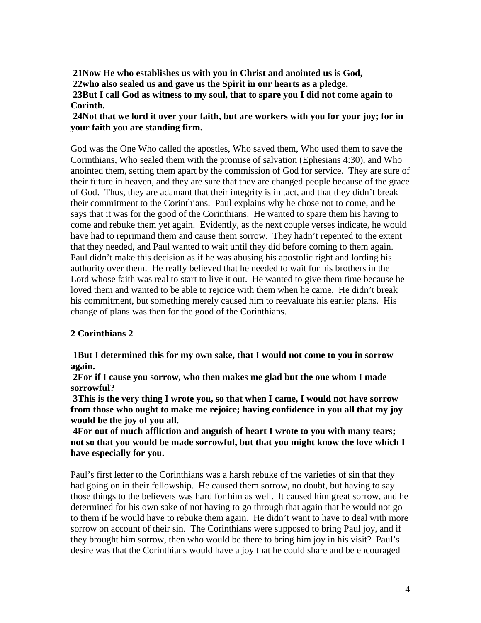**21Now He who establishes us with you in Christ and anointed us is God, 22who also sealed us and gave us the Spirit in our hearts as a pledge. 23But I call God as witness to my soul, that to spare you I did not come again to Corinth.** 

# **24Not that we lord it over your faith, but are workers with you for your joy; for in your faith you are standing firm.**

God was the One Who called the apostles, Who saved them, Who used them to save the Corinthians, Who sealed them with the promise of salvation (Ephesians 4:30), and Who anointed them, setting them apart by the commission of God for service. They are sure of their future in heaven, and they are sure that they are changed people because of the grace of God. Thus, they are adamant that their integrity is in tact, and that they didn't break their commitment to the Corinthians. Paul explains why he chose not to come, and he says that it was for the good of the Corinthians. He wanted to spare them his having to come and rebuke them yet again. Evidently, as the next couple verses indicate, he would have had to reprimand them and cause them sorrow. They hadn't repented to the extent that they needed, and Paul wanted to wait until they did before coming to them again. Paul didn't make this decision as if he was abusing his apostolic right and lording his authority over them. He really believed that he needed to wait for his brothers in the Lord whose faith was real to start to live it out. He wanted to give them time because he loved them and wanted to be able to rejoice with them when he came. He didn't break his commitment, but something merely caused him to reevaluate his earlier plans. His change of plans was then for the good of the Corinthians.

# **2 Corinthians 2**

**1But I determined this for my own sake, that I would not come to you in sorrow again.** 

**2For if I cause you sorrow, who then makes me glad but the one whom I made sorrowful?** 

**3This is the very thing I wrote you, so that when I came, I would not have sorrow from those who ought to make me rejoice; having confidence in you all that my joy would be the joy of you all.** 

**4For out of much affliction and anguish of heart I wrote to you with many tears; not so that you would be made sorrowful, but that you might know the love which I have especially for you.** 

Paul's first letter to the Corinthians was a harsh rebuke of the varieties of sin that they had going on in their fellowship. He caused them sorrow, no doubt, but having to say those things to the believers was hard for him as well. It caused him great sorrow, and he determined for his own sake of not having to go through that again that he would not go to them if he would have to rebuke them again. He didn't want to have to deal with more sorrow on account of their sin. The Corinthians were supposed to bring Paul joy, and if they brought him sorrow, then who would be there to bring him joy in his visit? Paul's desire was that the Corinthians would have a joy that he could share and be encouraged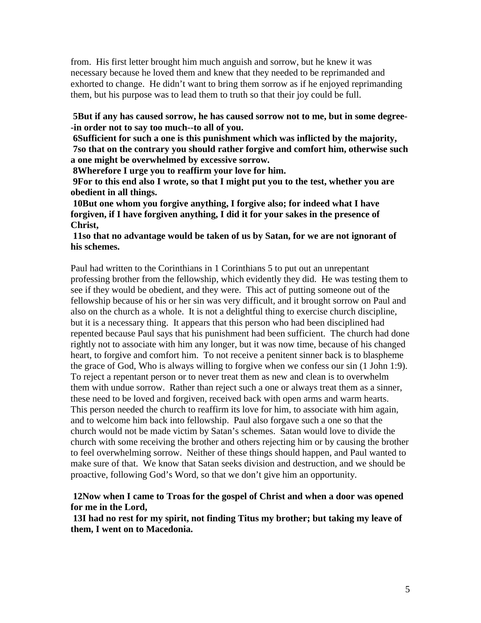from. His first letter brought him much anguish and sorrow, but he knew it was necessary because he loved them and knew that they needed to be reprimanded and exhorted to change. He didn't want to bring them sorrow as if he enjoyed reprimanding them, but his purpose was to lead them to truth so that their joy could be full.

**5But if any has caused sorrow, he has caused sorrow not to me, but in some degree- -in order not to say too much--to all of you.** 

**6Sufficient for such a one is this punishment which was inflicted by the majority, 7so that on the contrary you should rather forgive and comfort him, otherwise such a one might be overwhelmed by excessive sorrow.** 

**8Wherefore I urge you to reaffirm your love for him.** 

**9For to this end also I wrote, so that I might put you to the test, whether you are obedient in all things.** 

**10But one whom you forgive anything, I forgive also; for indeed what I have forgiven, if I have forgiven anything, I did it for your sakes in the presence of Christ,** 

### **11so that no advantage would be taken of us by Satan, for we are not ignorant of his schemes.**

Paul had written to the Corinthians in 1 Corinthians 5 to put out an unrepentant professing brother from the fellowship, which evidently they did. He was testing them to see if they would be obedient, and they were. This act of putting someone out of the fellowship because of his or her sin was very difficult, and it brought sorrow on Paul and also on the church as a whole. It is not a delightful thing to exercise church discipline, but it is a necessary thing. It appears that this person who had been disciplined had repented because Paul says that his punishment had been sufficient. The church had done rightly not to associate with him any longer, but it was now time, because of his changed heart, to forgive and comfort him. To not receive a penitent sinner back is to blaspheme the grace of God, Who is always willing to forgive when we confess our sin (1 John 1:9). To reject a repentant person or to never treat them as new and clean is to overwhelm them with undue sorrow. Rather than reject such a one or always treat them as a sinner, these need to be loved and forgiven, received back with open arms and warm hearts. This person needed the church to reaffirm its love for him, to associate with him again, and to welcome him back into fellowship. Paul also forgave such a one so that the church would not be made victim by Satan's schemes. Satan would love to divide the church with some receiving the brother and others rejecting him or by causing the brother to feel overwhelming sorrow. Neither of these things should happen, and Paul wanted to make sure of that. We know that Satan seeks division and destruction, and we should be proactive, following God's Word, so that we don't give him an opportunity.

# **12Now when I came to Troas for the gospel of Christ and when a door was opened for me in the Lord,**

**13I had no rest for my spirit, not finding Titus my brother; but taking my leave of them, I went on to Macedonia.**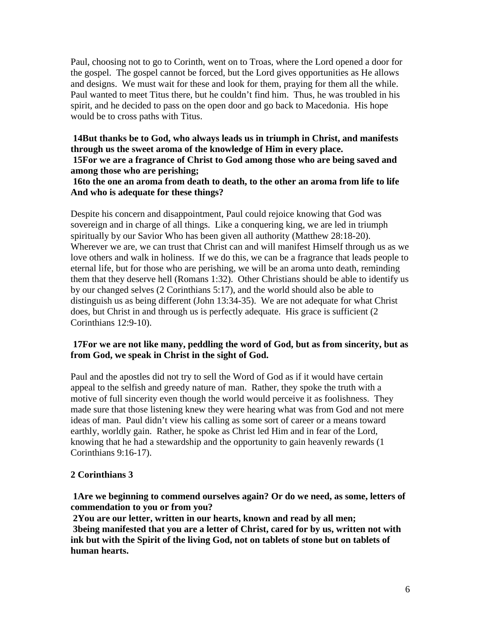Paul, choosing not to go to Corinth, went on to Troas, where the Lord opened a door for the gospel. The gospel cannot be forced, but the Lord gives opportunities as He allows and designs. We must wait for these and look for them, praying for them all the while. Paul wanted to meet Titus there, but he couldn't find him. Thus, he was troubled in his spirit, and he decided to pass on the open door and go back to Macedonia. His hope would be to cross paths with Titus.

# **14But thanks be to God, who always leads us in triumph in Christ, and manifests through us the sweet aroma of the knowledge of Him in every place. 15For we are a fragrance of Christ to God among those who are being saved and among those who are perishing;**

# **16to the one an aroma from death to death, to the other an aroma from life to life And who is adequate for these things?**

Despite his concern and disappointment, Paul could rejoice knowing that God was sovereign and in charge of all things. Like a conquering king, we are led in triumph spiritually by our Savior Who has been given all authority (Matthew 28:18-20). Wherever we are, we can trust that Christ can and will manifest Himself through us as we love others and walk in holiness. If we do this, we can be a fragrance that leads people to eternal life, but for those who are perishing, we will be an aroma unto death, reminding them that they deserve hell (Romans 1:32). Other Christians should be able to identify us by our changed selves (2 Corinthians 5:17), and the world should also be able to distinguish us as being different (John 13:34-35). We are not adequate for what Christ does, but Christ in and through us is perfectly adequate. His grace is sufficient (2 Corinthians 12:9-10).

# **17For we are not like many, peddling the word of God, but as from sincerity, but as from God, we speak in Christ in the sight of God.**

Paul and the apostles did not try to sell the Word of God as if it would have certain appeal to the selfish and greedy nature of man. Rather, they spoke the truth with a motive of full sincerity even though the world would perceive it as foolishness. They made sure that those listening knew they were hearing what was from God and not mere ideas of man. Paul didn't view his calling as some sort of career or a means toward earthly, worldly gain. Rather, he spoke as Christ led Him and in fear of the Lord, knowing that he had a stewardship and the opportunity to gain heavenly rewards (1 Corinthians 9:16-17).

# **2 Corinthians 3**

**1Are we beginning to commend ourselves again? Or do we need, as some, letters of commendation to you or from you?** 

**2You are our letter, written in our hearts, known and read by all men; 3being manifested that you are a letter of Christ, cared for by us, written not with ink but with the Spirit of the living God, not on tablets of stone but on tablets of human hearts.**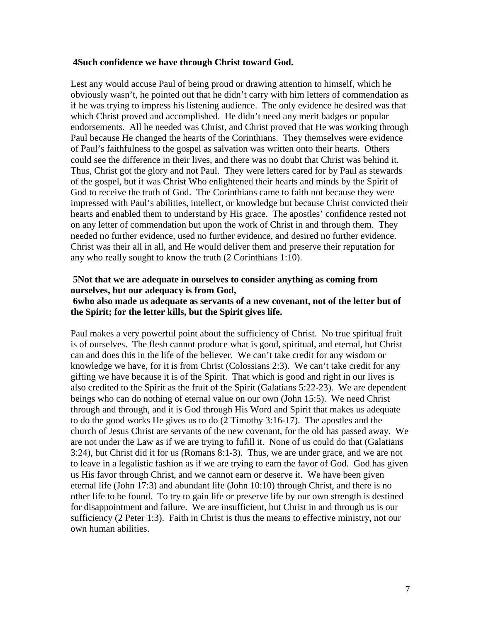#### **4Such confidence we have through Christ toward God.**

Lest any would accuse Paul of being proud or drawing attention to himself, which he obviously wasn't, he pointed out that he didn't carry with him letters of commendation as if he was trying to impress his listening audience. The only evidence he desired was that which Christ proved and accomplished. He didn't need any merit badges or popular endorsements. All he needed was Christ, and Christ proved that He was working through Paul because He changed the hearts of the Corinthians. They themselves were evidence of Paul's faithfulness to the gospel as salvation was written onto their hearts. Others could see the difference in their lives, and there was no doubt that Christ was behind it. Thus, Christ got the glory and not Paul. They were letters cared for by Paul as stewards of the gospel, but it was Christ Who enlightened their hearts and minds by the Spirit of God to receive the truth of God. The Corinthians came to faith not because they were impressed with Paul's abilities, intellect, or knowledge but because Christ convicted their hearts and enabled them to understand by His grace. The apostles' confidence rested not on any letter of commendation but upon the work of Christ in and through them. They needed no further evidence, used no further evidence, and desired no further evidence. Christ was their all in all, and He would deliver them and preserve their reputation for any who really sought to know the truth (2 Corinthians 1:10).

### **5Not that we are adequate in ourselves to consider anything as coming from ourselves, but our adequacy is from God,**

### **6who also made us adequate as servants of a new covenant, not of the letter but of the Spirit; for the letter kills, but the Spirit gives life.**

Paul makes a very powerful point about the sufficiency of Christ. No true spiritual fruit is of ourselves. The flesh cannot produce what is good, spiritual, and eternal, but Christ can and does this in the life of the believer. We can't take credit for any wisdom or knowledge we have, for it is from Christ (Colossians 2:3). We can't take credit for any gifting we have because it is of the Spirit. That which is good and right in our lives is also credited to the Spirit as the fruit of the Spirit (Galatians 5:22-23). We are dependent beings who can do nothing of eternal value on our own (John 15:5). We need Christ through and through, and it is God through His Word and Spirit that makes us adequate to do the good works He gives us to do (2 Timothy 3:16-17). The apostles and the church of Jesus Christ are servants of the new covenant, for the old has passed away. We are not under the Law as if we are trying to fufill it. None of us could do that (Galatians 3:24), but Christ did it for us (Romans 8:1-3). Thus, we are under grace, and we are not to leave in a legalistic fashion as if we are trying to earn the favor of God. God has given us His favor through Christ, and we cannot earn or deserve it. We have been given eternal life (John 17:3) and abundant life (John 10:10) through Christ, and there is no other life to be found. To try to gain life or preserve life by our own strength is destined for disappointment and failure. We are insufficient, but Christ in and through us is our sufficiency (2 Peter 1:3). Faith in Christ is thus the means to effective ministry, not our own human abilities.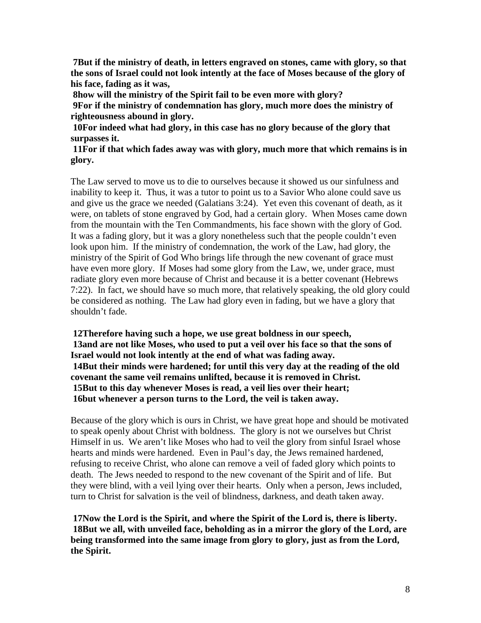**7But if the ministry of death, in letters engraved on stones, came with glory, so that the sons of Israel could not look intently at the face of Moses because of the glory of his face, fading as it was,** 

**8how will the ministry of the Spirit fail to be even more with glory? 9For if the ministry of condemnation has glory, much more does the ministry of righteousness abound in glory.** 

**10For indeed what had glory, in this case has no glory because of the glory that surpasses it.** 

**11For if that which fades away was with glory, much more that which remains is in glory.** 

The Law served to move us to die to ourselves because it showed us our sinfulness and inability to keep it. Thus, it was a tutor to point us to a Savior Who alone could save us and give us the grace we needed (Galatians 3:24). Yet even this covenant of death, as it were, on tablets of stone engraved by God, had a certain glory. When Moses came down from the mountain with the Ten Commandments, his face shown with the glory of God. It was a fading glory, but it was a glory nonetheless such that the people couldn't even look upon him. If the ministry of condemnation, the work of the Law, had glory, the ministry of the Spirit of God Who brings life through the new covenant of grace must have even more glory. If Moses had some glory from the Law, we, under grace, must radiate glory even more because of Christ and because it is a better covenant (Hebrews 7:22). In fact, we should have so much more, that relatively speaking, the old glory could be considered as nothing. The Law had glory even in fading, but we have a glory that shouldn't fade.

**12Therefore having such a hope, we use great boldness in our speech, 13and are not like Moses, who used to put a veil over his face so that the sons of Israel would not look intently at the end of what was fading away. 14But their minds were hardened; for until this very day at the reading of the old covenant the same veil remains unlifted, because it is removed in Christ. 15But to this day whenever Moses is read, a veil lies over their heart; 16but whenever a person turns to the Lord, the veil is taken away.** 

Because of the glory which is ours in Christ, we have great hope and should be motivated to speak openly about Christ with boldness. The glory is not we ourselves but Christ Himself in us. We aren't like Moses who had to veil the glory from sinful Israel whose hearts and minds were hardened. Even in Paul's day, the Jews remained hardened, refusing to receive Christ, who alone can remove a veil of faded glory which points to death. The Jews needed to respond to the new covenant of the Spirit and of life. But they were blind, with a veil lying over their hearts. Only when a person, Jews included, turn to Christ for salvation is the veil of blindness, darkness, and death taken away.

**17Now the Lord is the Spirit, and where the Spirit of the Lord is, there is liberty. 18But we all, with unveiled face, beholding as in a mirror the glory of the Lord, are being transformed into the same image from glory to glory, just as from the Lord, the Spirit.**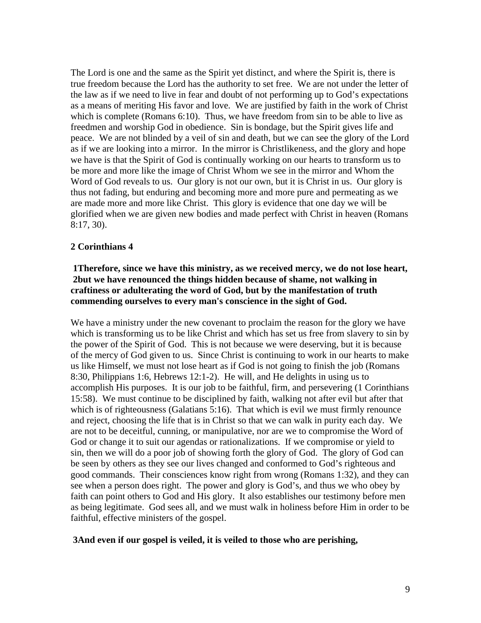The Lord is one and the same as the Spirit yet distinct, and where the Spirit is, there is true freedom because the Lord has the authority to set free. We are not under the letter of the law as if we need to live in fear and doubt of not performing up to God's expectations as a means of meriting His favor and love. We are justified by faith in the work of Christ which is complete (Romans 6:10). Thus, we have freedom from sin to be able to live as freedmen and worship God in obedience. Sin is bondage, but the Spirit gives life and peace. We are not blinded by a veil of sin and death, but we can see the glory of the Lord as if we are looking into a mirror. In the mirror is Christlikeness, and the glory and hope we have is that the Spirit of God is continually working on our hearts to transform us to be more and more like the image of Christ Whom we see in the mirror and Whom the Word of God reveals to us. Our glory is not our own, but it is Christ in us. Our glory is thus not fading, but enduring and becoming more and more pure and permeating as we are made more and more like Christ. This glory is evidence that one day we will be glorified when we are given new bodies and made perfect with Christ in heaven (Romans 8:17, 30).

# **2 Corinthians 4**

# **1Therefore, since we have this ministry, as we received mercy, we do not lose heart, 2but we have renounced the things hidden because of shame, not walking in craftiness or adulterating the word of God, but by the manifestation of truth commending ourselves to every man's conscience in the sight of God.**

We have a ministry under the new covenant to proclaim the reason for the glory we have which is transforming us to be like Christ and which has set us free from slavery to sin by the power of the Spirit of God. This is not because we were deserving, but it is because of the mercy of God given to us. Since Christ is continuing to work in our hearts to make us like Himself, we must not lose heart as if God is not going to finish the job (Romans 8:30, Philippians 1:6, Hebrews 12:1-2). He will, and He delights in using us to accomplish His purposes. It is our job to be faithful, firm, and persevering (1 Corinthians 15:58). We must continue to be disciplined by faith, walking not after evil but after that which is of righteousness (Galatians 5:16). That which is evil we must firmly renounce and reject, choosing the life that is in Christ so that we can walk in purity each day. We are not to be deceitful, cunning, or manipulative, nor are we to compromise the Word of God or change it to suit our agendas or rationalizations. If we compromise or yield to sin, then we will do a poor job of showing forth the glory of God. The glory of God can be seen by others as they see our lives changed and conformed to God's righteous and good commands. Their consciences know right from wrong (Romans 1:32), and they can see when a person does right. The power and glory is God's, and thus we who obey by faith can point others to God and His glory. It also establishes our testimony before men as being legitimate. God sees all, and we must walk in holiness before Him in order to be faithful, effective ministers of the gospel.

### **3And even if our gospel is veiled, it is veiled to those who are perishing,**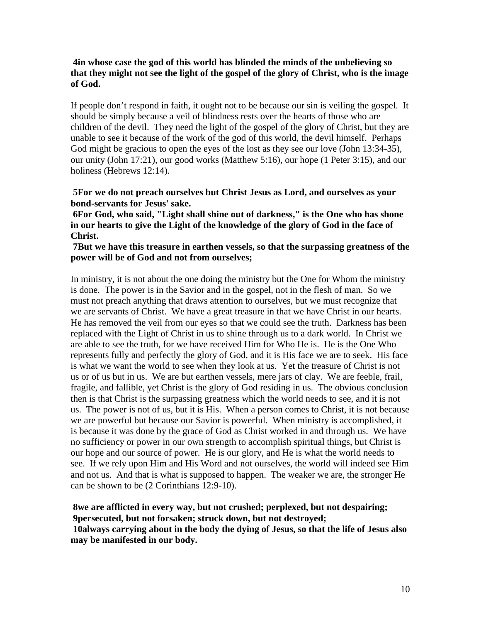### **4in whose case the god of this world has blinded the minds of the unbelieving so that they might not see the light of the gospel of the glory of Christ, who is the image of God.**

If people don't respond in faith, it ought not to be because our sin is veiling the gospel. It should be simply because a veil of blindness rests over the hearts of those who are children of the devil. They need the light of the gospel of the glory of Christ, but they are unable to see it because of the work of the god of this world, the devil himself. Perhaps God might be gracious to open the eyes of the lost as they see our love (John 13:34-35), our unity (John 17:21), our good works (Matthew 5:16), our hope (1 Peter 3:15), and our holiness (Hebrews 12:14).

#### **5For we do not preach ourselves but Christ Jesus as Lord, and ourselves as your bond-servants for Jesus' sake.**

**6For God, who said, "Light shall shine out of darkness," is the One who has shone in our hearts to give the Light of the knowledge of the glory of God in the face of Christ.** 

#### **7But we have this treasure in earthen vessels, so that the surpassing greatness of the power will be of God and not from ourselves;**

In ministry, it is not about the one doing the ministry but the One for Whom the ministry is done. The power is in the Savior and in the gospel, not in the flesh of man. So we must not preach anything that draws attention to ourselves, but we must recognize that we are servants of Christ. We have a great treasure in that we have Christ in our hearts. He has removed the veil from our eyes so that we could see the truth. Darkness has been replaced with the Light of Christ in us to shine through us to a dark world. In Christ we are able to see the truth, for we have received Him for Who He is. He is the One Who represents fully and perfectly the glory of God, and it is His face we are to seek. His face is what we want the world to see when they look at us. Yet the treasure of Christ is not us or of us but in us. We are but earthen vessels, mere jars of clay. We are feeble, frail, fragile, and fallible, yet Christ is the glory of God residing in us. The obvious conclusion then is that Christ is the surpassing greatness which the world needs to see, and it is not us. The power is not of us, but it is His. When a person comes to Christ, it is not because we are powerful but because our Savior is powerful. When ministry is accomplished, it is because it was done by the grace of God as Christ worked in and through us. We have no sufficiency or power in our own strength to accomplish spiritual things, but Christ is our hope and our source of power. He is our glory, and He is what the world needs to see. If we rely upon Him and His Word and not ourselves, the world will indeed see Him and not us. And that is what is supposed to happen. The weaker we are, the stronger He can be shown to be (2 Corinthians 12:9-10).

**8we are afflicted in every way, but not crushed; perplexed, but not despairing; 9persecuted, but not forsaken; struck down, but not destroyed; 10always carrying about in the body the dying of Jesus, so that the life of Jesus also may be manifested in our body.**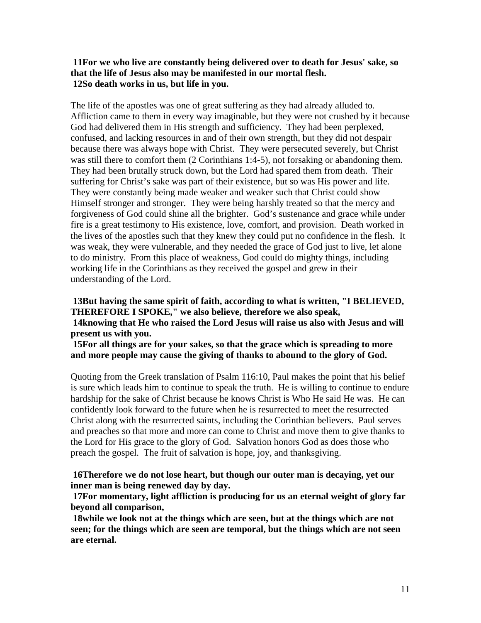### **11For we who live are constantly being delivered over to death for Jesus' sake, so that the life of Jesus also may be manifested in our mortal flesh. 12So death works in us, but life in you.**

The life of the apostles was one of great suffering as they had already alluded to. Affliction came to them in every way imaginable, but they were not crushed by it because God had delivered them in His strength and sufficiency. They had been perplexed, confused, and lacking resources in and of their own strength, but they did not despair because there was always hope with Christ. They were persecuted severely, but Christ was still there to comfort them (2 Corinthians 1:4-5), not forsaking or abandoning them. They had been brutally struck down, but the Lord had spared them from death. Their suffering for Christ's sake was part of their existence, but so was His power and life. They were constantly being made weaker and weaker such that Christ could show Himself stronger and stronger. They were being harshly treated so that the mercy and forgiveness of God could shine all the brighter. God's sustenance and grace while under fire is a great testimony to His existence, love, comfort, and provision. Death worked in the lives of the apostles such that they knew they could put no confidence in the flesh. It was weak, they were vulnerable, and they needed the grace of God just to live, let alone to do ministry. From this place of weakness, God could do mighty things, including working life in the Corinthians as they received the gospel and grew in their understanding of the Lord.

# **13But having the same spirit of faith, according to what is written, "I BELIEVED, THEREFORE I SPOKE," we also believe, therefore we also speak, 14knowing that He who raised the Lord Jesus will raise us also with Jesus and will present us with you.**

**15For all things are for your sakes, so that the grace which is spreading to more and more people may cause the giving of thanks to abound to the glory of God.** 

Quoting from the Greek translation of Psalm 116:10, Paul makes the point that his belief is sure which leads him to continue to speak the truth. He is willing to continue to endure hardship for the sake of Christ because he knows Christ is Who He said He was. He can confidently look forward to the future when he is resurrected to meet the resurrected Christ along with the resurrected saints, including the Corinthian believers. Paul serves and preaches so that more and more can come to Christ and move them to give thanks to the Lord for His grace to the glory of God. Salvation honors God as does those who preach the gospel. The fruit of salvation is hope, joy, and thanksgiving.

# **16Therefore we do not lose heart, but though our outer man is decaying, yet our inner man is being renewed day by day.**

**17For momentary, light affliction is producing for us an eternal weight of glory far beyond all comparison,** 

**18while we look not at the things which are seen, but at the things which are not seen; for the things which are seen are temporal, but the things which are not seen are eternal.**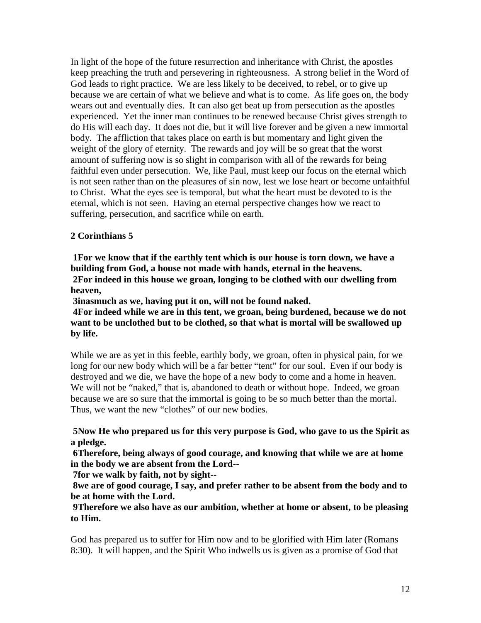In light of the hope of the future resurrection and inheritance with Christ, the apostles keep preaching the truth and persevering in righteousness. A strong belief in the Word of God leads to right practice. We are less likely to be deceived, to rebel, or to give up because we are certain of what we believe and what is to come. As life goes on, the body wears out and eventually dies. It can also get beat up from persecution as the apostles experienced. Yet the inner man continues to be renewed because Christ gives strength to do His will each day. It does not die, but it will live forever and be given a new immortal body. The affliction that takes place on earth is but momentary and light given the weight of the glory of eternity. The rewards and joy will be so great that the worst amount of suffering now is so slight in comparison with all of the rewards for being faithful even under persecution. We, like Paul, must keep our focus on the eternal which is not seen rather than on the pleasures of sin now, lest we lose heart or become unfaithful to Christ. What the eyes see is temporal, but what the heart must be devoted to is the eternal, which is not seen. Having an eternal perspective changes how we react to suffering, persecution, and sacrifice while on earth.

# **2 Corinthians 5**

**1For we know that if the earthly tent which is our house is torn down, we have a building from God, a house not made with hands, eternal in the heavens. 2For indeed in this house we groan, longing to be clothed with our dwelling from heaven,** 

**3inasmuch as we, having put it on, will not be found naked.** 

**4For indeed while we are in this tent, we groan, being burdened, because we do not want to be unclothed but to be clothed, so that what is mortal will be swallowed up by life.** 

While we are as yet in this feeble, earthly body, we groan, often in physical pain, for we long for our new body which will be a far better "tent" for our soul. Even if our body is destroyed and we die, we have the hope of a new body to come and a home in heaven. We will not be "naked," that is, abandoned to death or without hope. Indeed, we groan because we are so sure that the immortal is going to be so much better than the mortal. Thus, we want the new "clothes" of our new bodies.

# **5Now He who prepared us for this very purpose is God, who gave to us the Spirit as a pledge.**

**6Therefore, being always of good courage, and knowing that while we are at home in the body we are absent from the Lord--**

**7for we walk by faith, not by sight--**

**8we are of good courage, I say, and prefer rather to be absent from the body and to be at home with the Lord.** 

# **9Therefore we also have as our ambition, whether at home or absent, to be pleasing to Him.**

God has prepared us to suffer for Him now and to be glorified with Him later (Romans 8:30). It will happen, and the Spirit Who indwells us is given as a promise of God that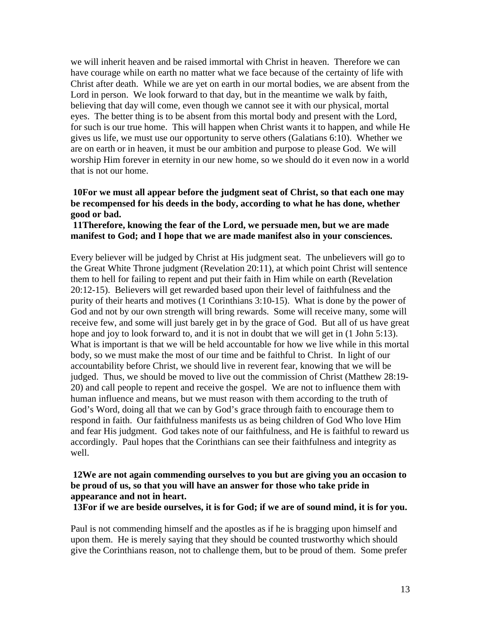we will inherit heaven and be raised immortal with Christ in heaven. Therefore we can have courage while on earth no matter what we face because of the certainty of life with Christ after death. While we are yet on earth in our mortal bodies, we are absent from the Lord in person. We look forward to that day, but in the meantime we walk by faith, believing that day will come, even though we cannot see it with our physical, mortal eyes. The better thing is to be absent from this mortal body and present with the Lord, for such is our true home. This will happen when Christ wants it to happen, and while He gives us life, we must use our opportunity to serve others (Galatians 6:10). Whether we are on earth or in heaven, it must be our ambition and purpose to please God. We will worship Him forever in eternity in our new home, so we should do it even now in a world that is not our home.

### **10For we must all appear before the judgment seat of Christ, so that each one may be recompensed for his deeds in the body, according to what he has done, whether good or bad.**

### **11Therefore, knowing the fear of the Lord, we persuade men, but we are made manifest to God; and I hope that we are made manifest also in your consciences.**

Every believer will be judged by Christ at His judgment seat. The unbelievers will go to the Great White Throne judgment (Revelation 20:11), at which point Christ will sentence them to hell for failing to repent and put their faith in Him while on earth (Revelation 20:12-15). Believers will get rewarded based upon their level of faithfulness and the purity of their hearts and motives (1 Corinthians 3:10-15). What is done by the power of God and not by our own strength will bring rewards. Some will receive many, some will receive few, and some will just barely get in by the grace of God. But all of us have great hope and joy to look forward to, and it is not in doubt that we will get in  $(1$  John 5:13). What is important is that we will be held accountable for how we live while in this mortal body, so we must make the most of our time and be faithful to Christ. In light of our accountability before Christ, we should live in reverent fear, knowing that we will be judged. Thus, we should be moved to live out the commission of Christ (Matthew 28:19- 20) and call people to repent and receive the gospel. We are not to influence them with human influence and means, but we must reason with them according to the truth of God's Word, doing all that we can by God's grace through faith to encourage them to respond in faith. Our faithfulness manifests us as being children of God Who love Him and fear His judgment. God takes note of our faithfulness, and He is faithful to reward us accordingly. Paul hopes that the Corinthians can see their faithfulness and integrity as well.

# **12We are not again commending ourselves to you but are giving you an occasion to be proud of us, so that you will have an answer for those who take pride in appearance and not in heart.**

**13For if we are beside ourselves, it is for God; if we are of sound mind, it is for you.** 

Paul is not commending himself and the apostles as if he is bragging upon himself and upon them. He is merely saying that they should be counted trustworthy which should give the Corinthians reason, not to challenge them, but to be proud of them. Some prefer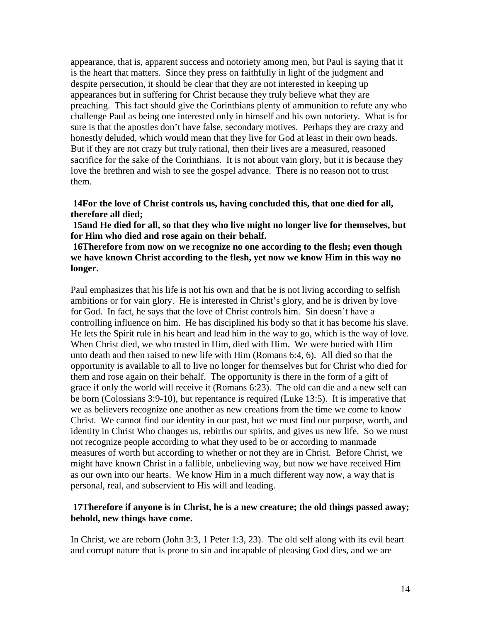appearance, that is, apparent success and notoriety among men, but Paul is saying that it is the heart that matters. Since they press on faithfully in light of the judgment and despite persecution, it should be clear that they are not interested in keeping up appearances but in suffering for Christ because they truly believe what they are preaching. This fact should give the Corinthians plenty of ammunition to refute any who challenge Paul as being one interested only in himself and his own notoriety. What is for sure is that the apostles don't have false, secondary motives. Perhaps they are crazy and honestly deluded, which would mean that they live for God at least in their own heads. But if they are not crazy but truly rational, then their lives are a measured, reasoned sacrifice for the sake of the Corinthians. It is not about vain glory, but it is because they love the brethren and wish to see the gospel advance. There is no reason not to trust them.

### **14For the love of Christ controls us, having concluded this, that one died for all, therefore all died;**

**15and He died for all, so that they who live might no longer live for themselves, but for Him who died and rose again on their behalf.** 

# **16Therefore from now on we recognize no one according to the flesh; even though we have known Christ according to the flesh, yet now we know Him in this way no longer.**

Paul emphasizes that his life is not his own and that he is not living according to selfish ambitions or for vain glory. He is interested in Christ's glory, and he is driven by love for God. In fact, he says that the love of Christ controls him. Sin doesn't have a controlling influence on him. He has disciplined his body so that it has become his slave. He lets the Spirit rule in his heart and lead him in the way to go, which is the way of love. When Christ died, we who trusted in Him, died with Him. We were buried with Him unto death and then raised to new life with Him (Romans 6:4, 6). All died so that the opportunity is available to all to live no longer for themselves but for Christ who died for them and rose again on their behalf. The opportunity is there in the form of a gift of grace if only the world will receive it (Romans 6:23). The old can die and a new self can be born (Colossians 3:9-10), but repentance is required (Luke 13:5). It is imperative that we as believers recognize one another as new creations from the time we come to know Christ. We cannot find our identity in our past, but we must find our purpose, worth, and identity in Christ Who changes us, rebirths our spirits, and gives us new life. So we must not recognize people according to what they used to be or according to manmade measures of worth but according to whether or not they are in Christ. Before Christ, we might have known Christ in a fallible, unbelieving way, but now we have received Him as our own into our hearts. We know Him in a much different way now, a way that is personal, real, and subservient to His will and leading.

### **17Therefore if anyone is in Christ, he is a new creature; the old things passed away; behold, new things have come.**

In Christ, we are reborn (John 3:3, 1 Peter 1:3, 23). The old self along with its evil heart and corrupt nature that is prone to sin and incapable of pleasing God dies, and we are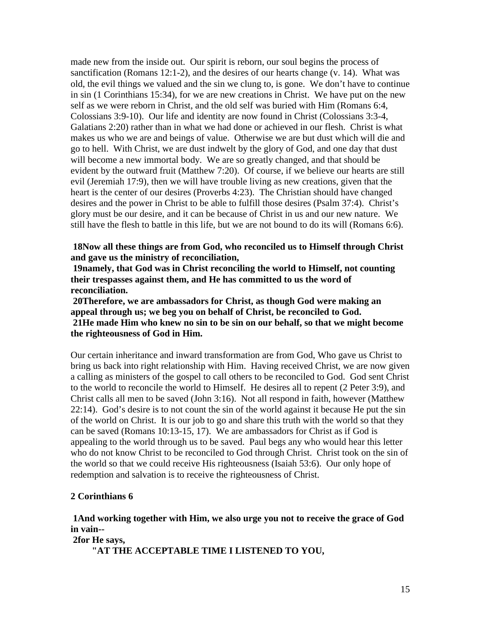made new from the inside out. Our spirit is reborn, our soul begins the process of sanctification (Romans 12:1-2), and the desires of our hearts change (v. 14). What was old, the evil things we valued and the sin we clung to, is gone. We don't have to continue in sin (1 Corinthians 15:34), for we are new creations in Christ. We have put on the new self as we were reborn in Christ, and the old self was buried with Him (Romans 6:4, Colossians 3:9-10). Our life and identity are now found in Christ (Colossians 3:3-4, Galatians 2:20) rather than in what we had done or achieved in our flesh. Christ is what makes us who we are and beings of value. Otherwise we are but dust which will die and go to hell. With Christ, we are dust indwelt by the glory of God, and one day that dust will become a new immortal body. We are so greatly changed, and that should be evident by the outward fruit (Matthew 7:20). Of course, if we believe our hearts are still evil (Jeremiah 17:9), then we will have trouble living as new creations, given that the heart is the center of our desires (Proverbs 4:23). The Christian should have changed desires and the power in Christ to be able to fulfill those desires (Psalm 37:4). Christ's glory must be our desire, and it can be because of Christ in us and our new nature. We still have the flesh to battle in this life, but we are not bound to do its will (Romans 6:6).

**18Now all these things are from God, who reconciled us to Himself through Christ and gave us the ministry of reconciliation,** 

**19namely, that God was in Christ reconciling the world to Himself, not counting their trespasses against them, and He has committed to us the word of reconciliation.** 

**20Therefore, we are ambassadors for Christ, as though God were making an appeal through us; we beg you on behalf of Christ, be reconciled to God. 21He made Him who knew no sin to be sin on our behalf, so that we might become the righteousness of God in Him.** 

Our certain inheritance and inward transformation are from God, Who gave us Christ to bring us back into right relationship with Him. Having received Christ, we are now given a calling as ministers of the gospel to call others to be reconciled to God. God sent Christ to the world to reconcile the world to Himself. He desires all to repent (2 Peter 3:9), and Christ calls all men to be saved (John 3:16). Not all respond in faith, however (Matthew 22:14). God's desire is to not count the sin of the world against it because He put the sin of the world on Christ. It is our job to go and share this truth with the world so that they can be saved (Romans 10:13-15, 17). We are ambassadors for Christ as if God is appealing to the world through us to be saved. Paul begs any who would hear this letter who do not know Christ to be reconciled to God through Christ. Christ took on the sin of the world so that we could receive His righteousness (Isaiah 53:6). Our only hope of redemption and salvation is to receive the righteousness of Christ.

#### **2 Corinthians 6**

#### **1And working together with Him, we also urge you not to receive the grace of God in vain-- 2for He says,**

**"AT THE ACCEPTABLE TIME I LISTENED TO YOU,**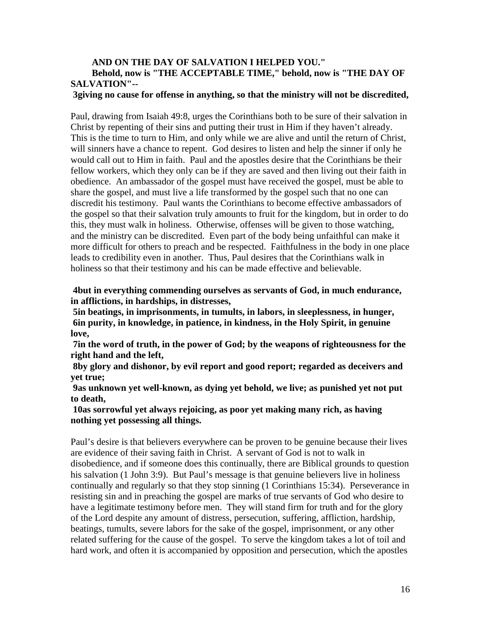# **AND ON THE DAY OF SALVATION I HELPED YOU." Behold, now is "THE ACCEPTABLE TIME," behold, now is "THE DAY OF SALVATION"--**

#### **3giving no cause for offense in anything, so that the ministry will not be discredited,**

Paul, drawing from Isaiah 49:8, urges the Corinthians both to be sure of their salvation in Christ by repenting of their sins and putting their trust in Him if they haven't already. This is the time to turn to Him, and only while we are alive and until the return of Christ, will sinners have a chance to repent. God desires to listen and help the sinner if only he would call out to Him in faith. Paul and the apostles desire that the Corinthians be their fellow workers, which they only can be if they are saved and then living out their faith in obedience. An ambassador of the gospel must have received the gospel, must be able to share the gospel, and must live a life transformed by the gospel such that no one can discredit his testimony. Paul wants the Corinthians to become effective ambassadors of the gospel so that their salvation truly amounts to fruit for the kingdom, but in order to do this, they must walk in holiness. Otherwise, offenses will be given to those watching, and the ministry can be discredited. Even part of the body being unfaithful can make it more difficult for others to preach and be respected. Faithfulness in the body in one place leads to credibility even in another. Thus, Paul desires that the Corinthians walk in holiness so that their testimony and his can be made effective and believable.

### **4but in everything commending ourselves as servants of God, in much endurance, in afflictions, in hardships, in distresses,**

**5in beatings, in imprisonments, in tumults, in labors, in sleeplessness, in hunger, 6in purity, in knowledge, in patience, in kindness, in the Holy Spirit, in genuine love,** 

**7in the word of truth, in the power of God; by the weapons of righteousness for the right hand and the left,** 

**8by glory and dishonor, by evil report and good report; regarded as deceivers and yet true;** 

**9as unknown yet well-known, as dying yet behold, we live; as punished yet not put to death,** 

**10as sorrowful yet always rejoicing, as poor yet making many rich, as having nothing yet possessing all things.** 

Paul's desire is that believers everywhere can be proven to be genuine because their lives are evidence of their saving faith in Christ. A servant of God is not to walk in disobedience, and if someone does this continually, there are Biblical grounds to question his salvation (1 John 3:9). But Paul's message is that genuine believers live in holiness continually and regularly so that they stop sinning (1 Corinthians 15:34). Perseverance in resisting sin and in preaching the gospel are marks of true servants of God who desire to have a legitimate testimony before men. They will stand firm for truth and for the glory of the Lord despite any amount of distress, persecution, suffering, affliction, hardship, beatings, tumults, severe labors for the sake of the gospel, imprisonment, or any other related suffering for the cause of the gospel. To serve the kingdom takes a lot of toil and hard work, and often it is accompanied by opposition and persecution, which the apostles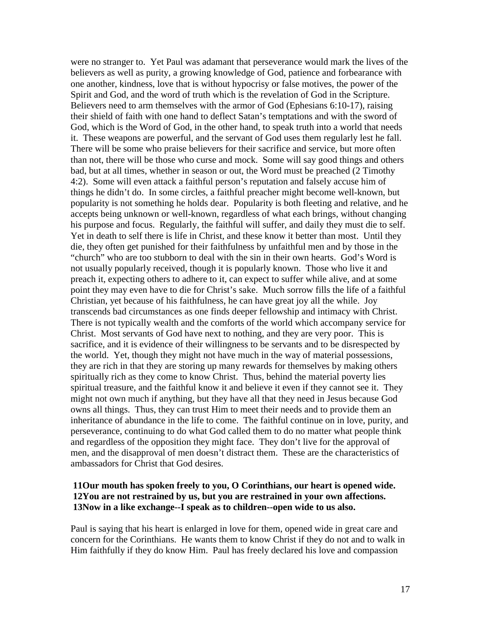were no stranger to. Yet Paul was adamant that perseverance would mark the lives of the believers as well as purity, a growing knowledge of God, patience and forbearance with one another, kindness, love that is without hypocrisy or false motives, the power of the Spirit and God, and the word of truth which is the revelation of God in the Scripture. Believers need to arm themselves with the armor of God (Ephesians 6:10-17), raising their shield of faith with one hand to deflect Satan's temptations and with the sword of God, which is the Word of God, in the other hand, to speak truth into a world that needs it. These weapons are powerful, and the servant of God uses them regularly lest he fall. There will be some who praise believers for their sacrifice and service, but more often than not, there will be those who curse and mock. Some will say good things and others bad, but at all times, whether in season or out, the Word must be preached (2 Timothy 4:2). Some will even attack a faithful person's reputation and falsely accuse him of things he didn't do. In some circles, a faithful preacher might become well-known, but popularity is not something he holds dear. Popularity is both fleeting and relative, and he accepts being unknown or well-known, regardless of what each brings, without changing his purpose and focus. Regularly, the faithful will suffer, and daily they must die to self. Yet in death to self there is life in Christ, and these know it better than most. Until they die, they often get punished for their faithfulness by unfaithful men and by those in the "church" who are too stubborn to deal with the sin in their own hearts. God's Word is not usually popularly received, though it is popularly known. Those who live it and preach it, expecting others to adhere to it, can expect to suffer while alive, and at some point they may even have to die for Christ's sake. Much sorrow fills the life of a faithful Christian, yet because of his faithfulness, he can have great joy all the while. Joy transcends bad circumstances as one finds deeper fellowship and intimacy with Christ. There is not typically wealth and the comforts of the world which accompany service for Christ. Most servants of God have next to nothing, and they are very poor. This is sacrifice, and it is evidence of their willingness to be servants and to be disrespected by the world. Yet, though they might not have much in the way of material possessions, they are rich in that they are storing up many rewards for themselves by making others spiritually rich as they come to know Christ. Thus, behind the material poverty lies spiritual treasure, and the faithful know it and believe it even if they cannot see it. They might not own much if anything, but they have all that they need in Jesus because God owns all things. Thus, they can trust Him to meet their needs and to provide them an inheritance of abundance in the life to come. The faithful continue on in love, purity, and perseverance, continuing to do what God called them to do no matter what people think and regardless of the opposition they might face. They don't live for the approval of men, and the disapproval of men doesn't distract them. These are the characteristics of ambassadors for Christ that God desires.

# **11Our mouth has spoken freely to you, O Corinthians, our heart is opened wide. 12You are not restrained by us, but you are restrained in your own affections. 13Now in a like exchange--I speak as to children--open wide to us also.**

Paul is saying that his heart is enlarged in love for them, opened wide in great care and concern for the Corinthians. He wants them to know Christ if they do not and to walk in Him faithfully if they do know Him. Paul has freely declared his love and compassion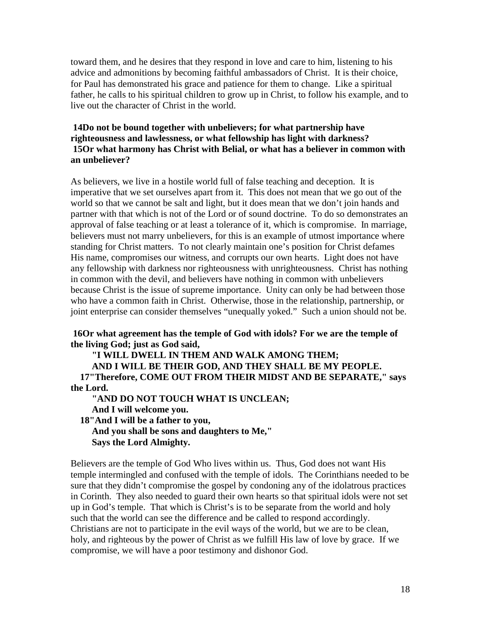toward them, and he desires that they respond in love and care to him, listening to his advice and admonitions by becoming faithful ambassadors of Christ. It is their choice, for Paul has demonstrated his grace and patience for them to change. Like a spiritual father, he calls to his spiritual children to grow up in Christ, to follow his example, and to live out the character of Christ in the world.

# **14Do not be bound together with unbelievers; for what partnership have righteousness and lawlessness, or what fellowship has light with darkness? 15Or what harmony has Christ with Belial, or what has a believer in common with an unbeliever?**

As believers, we live in a hostile world full of false teaching and deception. It is imperative that we set ourselves apart from it. This does not mean that we go out of the world so that we cannot be salt and light, but it does mean that we don't join hands and partner with that which is not of the Lord or of sound doctrine. To do so demonstrates an approval of false teaching or at least a tolerance of it, which is compromise. In marriage, believers must not marry unbelievers, for this is an example of utmost importance where standing for Christ matters. To not clearly maintain one's position for Christ defames His name, compromises our witness, and corrupts our own hearts. Light does not have any fellowship with darkness nor righteousness with unrighteousness. Christ has nothing in common with the devil, and believers have nothing in common with unbelievers because Christ is the issue of supreme importance. Unity can only be had between those who have a common faith in Christ. Otherwise, those in the relationship, partnership, or joint enterprise can consider themselves "unequally yoked." Such a union should not be.

### **16Or what agreement has the temple of God with idols? For we are the temple of the living God; just as God said,**

**"I WILL DWELL IN THEM AND WALK AMONG THEM; AND I WILL BE THEIR GOD, AND THEY SHALL BE MY PEOPLE. 17"Therefore, COME OUT FROM THEIR MIDST AND BE SEPARATE," says the Lord. "AND DO NOT TOUCH WHAT IS UNCLEAN;**

**And I will welcome you. 18"And I will be a father to you, And you shall be sons and daughters to Me," Says the Lord Almighty.** 

Believers are the temple of God Who lives within us. Thus, God does not want His temple intermingled and confused with the temple of idols. The Corinthians needed to be sure that they didn't compromise the gospel by condoning any of the idolatrous practices in Corinth. They also needed to guard their own hearts so that spiritual idols were not set up in God's temple. That which is Christ's is to be separate from the world and holy such that the world can see the difference and be called to respond accordingly. Christians are not to participate in the evil ways of the world, but we are to be clean, holy, and righteous by the power of Christ as we fulfill His law of love by grace. If we compromise, we will have a poor testimony and dishonor God.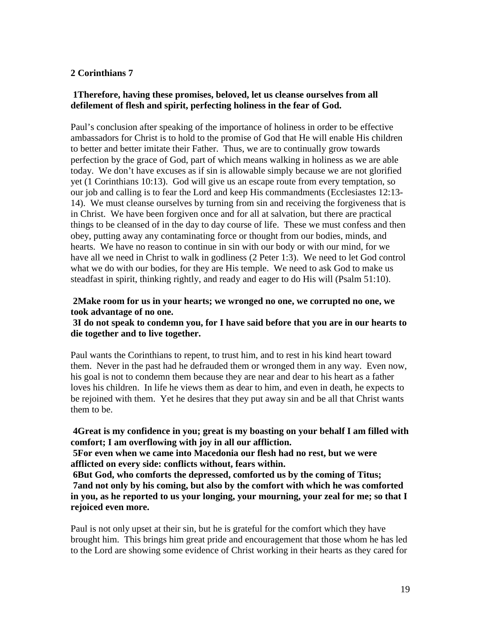# **2 Corinthians 7**

# **1Therefore, having these promises, beloved, let us cleanse ourselves from all defilement of flesh and spirit, perfecting holiness in the fear of God.**

Paul's conclusion after speaking of the importance of holiness in order to be effective ambassadors for Christ is to hold to the promise of God that He will enable His children to better and better imitate their Father. Thus, we are to continually grow towards perfection by the grace of God, part of which means walking in holiness as we are able today. We don't have excuses as if sin is allowable simply because we are not glorified yet (1 Corinthians 10:13). God will give us an escape route from every temptation, so our job and calling is to fear the Lord and keep His commandments (Ecclesiastes 12:13- 14). We must cleanse ourselves by turning from sin and receiving the forgiveness that is in Christ. We have been forgiven once and for all at salvation, but there are practical things to be cleansed of in the day to day course of life. These we must confess and then obey, putting away any contaminating force or thought from our bodies, minds, and hearts. We have no reason to continue in sin with our body or with our mind, for we have all we need in Christ to walk in godliness (2 Peter 1:3). We need to let God control what we do with our bodies, for they are His temple. We need to ask God to make us steadfast in spirit, thinking rightly, and ready and eager to do His will (Psalm 51:10).

### **2Make room for us in your hearts; we wronged no one, we corrupted no one, we took advantage of no one.**

### **3I do not speak to condemn you, for I have said before that you are in our hearts to die together and to live together.**

Paul wants the Corinthians to repent, to trust him, and to rest in his kind heart toward them. Never in the past had he defrauded them or wronged them in any way. Even now, his goal is not to condemn them because they are near and dear to his heart as a father loves his children. In life he views them as dear to him, and even in death, he expects to be rejoined with them. Yet he desires that they put away sin and be all that Christ wants them to be.

# **4Great is my confidence in you; great is my boasting on your behalf I am filled with comfort; I am overflowing with joy in all our affliction.**

**5For even when we came into Macedonia our flesh had no rest, but we were afflicted on every side: conflicts without, fears within.** 

**6But God, who comforts the depressed, comforted us by the coming of Titus; 7and not only by his coming, but also by the comfort with which he was comforted in you, as he reported to us your longing, your mourning, your zeal for me; so that I rejoiced even more.** 

Paul is not only upset at their sin, but he is grateful for the comfort which they have brought him. This brings him great pride and encouragement that those whom he has led to the Lord are showing some evidence of Christ working in their hearts as they cared for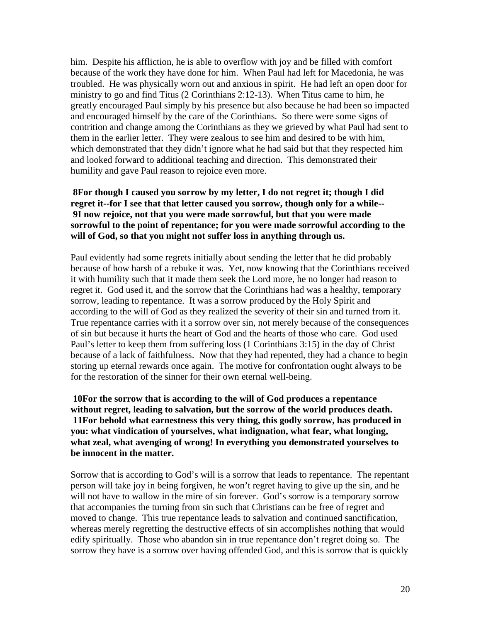him. Despite his affliction, he is able to overflow with joy and be filled with comfort because of the work they have done for him. When Paul had left for Macedonia, he was troubled. He was physically worn out and anxious in spirit. He had left an open door for ministry to go and find Titus (2 Corinthians 2:12-13). When Titus came to him, he greatly encouraged Paul simply by his presence but also because he had been so impacted and encouraged himself by the care of the Corinthians. So there were some signs of contrition and change among the Corinthians as they we grieved by what Paul had sent to them in the earlier letter. They were zealous to see him and desired to be with him, which demonstrated that they didn't ignore what he had said but that they respected him and looked forward to additional teaching and direction. This demonstrated their humility and gave Paul reason to rejoice even more.

# **8For though I caused you sorrow by my letter, I do not regret it; though I did regret it--for I see that that letter caused you sorrow, though only for a while-- 9I now rejoice, not that you were made sorrowful, but that you were made sorrowful to the point of repentance; for you were made sorrowful according to the will of God, so that you might not suffer loss in anything through us.**

Paul evidently had some regrets initially about sending the letter that he did probably because of how harsh of a rebuke it was. Yet, now knowing that the Corinthians received it with humility such that it made them seek the Lord more, he no longer had reason to regret it. God used it, and the sorrow that the Corinthians had was a healthy, temporary sorrow, leading to repentance. It was a sorrow produced by the Holy Spirit and according to the will of God as they realized the severity of their sin and turned from it. True repentance carries with it a sorrow over sin, not merely because of the consequences of sin but because it hurts the heart of God and the hearts of those who care. God used Paul's letter to keep them from suffering loss (1 Corinthians 3:15) in the day of Christ because of a lack of faithfulness. Now that they had repented, they had a chance to begin storing up eternal rewards once again. The motive for confrontation ought always to be for the restoration of the sinner for their own eternal well-being.

**10For the sorrow that is according to the will of God produces a repentance without regret, leading to salvation, but the sorrow of the world produces death. 11For behold what earnestness this very thing, this godly sorrow, has produced in you: what vindication of yourselves, what indignation, what fear, what longing, what zeal, what avenging of wrong! In everything you demonstrated yourselves to be innocent in the matter.** 

Sorrow that is according to God's will is a sorrow that leads to repentance. The repentant person will take joy in being forgiven, he won't regret having to give up the sin, and he will not have to wallow in the mire of sin forever. God's sorrow is a temporary sorrow that accompanies the turning from sin such that Christians can be free of regret and moved to change. This true repentance leads to salvation and continued sanctification, whereas merely regretting the destructive effects of sin accomplishes nothing that would edify spiritually. Those who abandon sin in true repentance don't regret doing so. The sorrow they have is a sorrow over having offended God, and this is sorrow that is quickly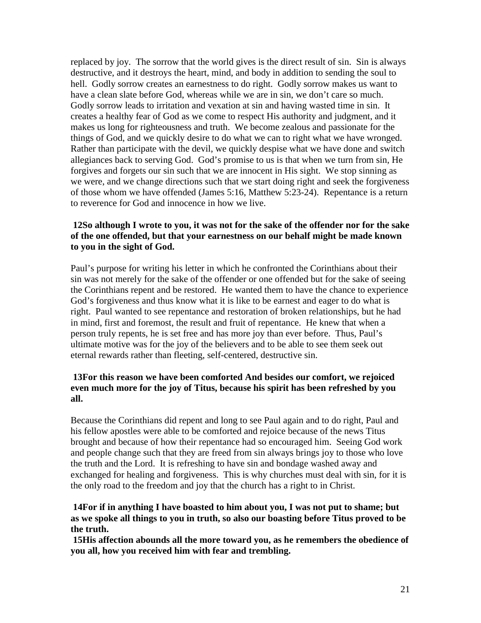replaced by joy. The sorrow that the world gives is the direct result of sin. Sin is always destructive, and it destroys the heart, mind, and body in addition to sending the soul to hell. Godly sorrow creates an earnestness to do right. Godly sorrow makes us want to have a clean slate before God, whereas while we are in sin, we don't care so much. Godly sorrow leads to irritation and vexation at sin and having wasted time in sin. It creates a healthy fear of God as we come to respect His authority and judgment, and it makes us long for righteousness and truth. We become zealous and passionate for the things of God, and we quickly desire to do what we can to right what we have wronged. Rather than participate with the devil, we quickly despise what we have done and switch allegiances back to serving God. God's promise to us is that when we turn from sin, He forgives and forgets our sin such that we are innocent in His sight. We stop sinning as we were, and we change directions such that we start doing right and seek the forgiveness of those whom we have offended (James 5:16, Matthew 5:23-24). Repentance is a return to reverence for God and innocence in how we live.

# **12So although I wrote to you, it was not for the sake of the offender nor for the sake of the one offended, but that your earnestness on our behalf might be made known to you in the sight of God.**

Paul's purpose for writing his letter in which he confronted the Corinthians about their sin was not merely for the sake of the offender or one offended but for the sake of seeing the Corinthians repent and be restored. He wanted them to have the chance to experience God's forgiveness and thus know what it is like to be earnest and eager to do what is right. Paul wanted to see repentance and restoration of broken relationships, but he had in mind, first and foremost, the result and fruit of repentance. He knew that when a person truly repents, he is set free and has more joy than ever before. Thus, Paul's ultimate motive was for the joy of the believers and to be able to see them seek out eternal rewards rather than fleeting, self-centered, destructive sin.

# **13For this reason we have been comforted And besides our comfort, we rejoiced even much more for the joy of Titus, because his spirit has been refreshed by you all.**

Because the Corinthians did repent and long to see Paul again and to do right, Paul and his fellow apostles were able to be comforted and rejoice because of the news Titus brought and because of how their repentance had so encouraged him. Seeing God work and people change such that they are freed from sin always brings joy to those who love the truth and the Lord. It is refreshing to have sin and bondage washed away and exchanged for healing and forgiveness. This is why churches must deal with sin, for it is the only road to the freedom and joy that the church has a right to in Christ.

# **14For if in anything I have boasted to him about you, I was not put to shame; but as we spoke all things to you in truth, so also our boasting before Titus proved to be the truth.**

**15His affection abounds all the more toward you, as he remembers the obedience of you all, how you received him with fear and trembling.**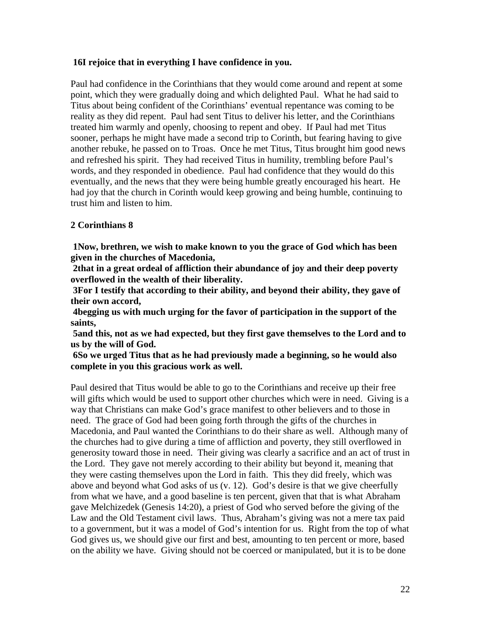# **16I rejoice that in everything I have confidence in you.**

Paul had confidence in the Corinthians that they would come around and repent at some point, which they were gradually doing and which delighted Paul. What he had said to Titus about being confident of the Corinthians' eventual repentance was coming to be reality as they did repent. Paul had sent Titus to deliver his letter, and the Corinthians treated him warmly and openly, choosing to repent and obey. If Paul had met Titus sooner, perhaps he might have made a second trip to Corinth, but fearing having to give another rebuke, he passed on to Troas. Once he met Titus, Titus brought him good news and refreshed his spirit. They had received Titus in humility, trembling before Paul's words, and they responded in obedience. Paul had confidence that they would do this eventually, and the news that they were being humble greatly encouraged his heart. He had joy that the church in Corinth would keep growing and being humble, continuing to trust him and listen to him.

# **2 Corinthians 8**

**1Now, brethren, we wish to make known to you the grace of God which has been given in the churches of Macedonia,** 

**2that in a great ordeal of affliction their abundance of joy and their deep poverty overflowed in the wealth of their liberality.** 

**3For I testify that according to their ability, and beyond their ability, they gave of their own accord,** 

**4begging us with much urging for the favor of participation in the support of the saints,** 

**5and this, not as we had expected, but they first gave themselves to the Lord and to us by the will of God.** 

**6So we urged Titus that as he had previously made a beginning, so he would also complete in you this gracious work as well.** 

Paul desired that Titus would be able to go to the Corinthians and receive up their free will gifts which would be used to support other churches which were in need. Giving is a way that Christians can make God's grace manifest to other believers and to those in need. The grace of God had been going forth through the gifts of the churches in Macedonia, and Paul wanted the Corinthians to do their share as well. Although many of the churches had to give during a time of affliction and poverty, they still overflowed in generosity toward those in need. Their giving was clearly a sacrifice and an act of trust in the Lord. They gave not merely according to their ability but beyond it, meaning that they were casting themselves upon the Lord in faith. This they did freely, which was above and beyond what God asks of us (v. 12). God's desire is that we give cheerfully from what we have, and a good baseline is ten percent, given that that is what Abraham gave Melchizedek (Genesis 14:20), a priest of God who served before the giving of the Law and the Old Testament civil laws. Thus, Abraham's giving was not a mere tax paid to a government, but it was a model of God's intention for us. Right from the top of what God gives us, we should give our first and best, amounting to ten percent or more, based on the ability we have. Giving should not be coerced or manipulated, but it is to be done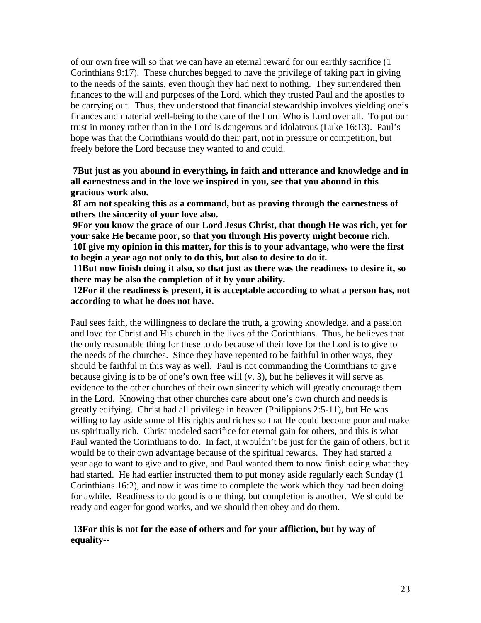of our own free will so that we can have an eternal reward for our earthly sacrifice (1 Corinthians 9:17). These churches begged to have the privilege of taking part in giving to the needs of the saints, even though they had next to nothing. They surrendered their finances to the will and purposes of the Lord, which they trusted Paul and the apostles to be carrying out. Thus, they understood that financial stewardship involves yielding one's finances and material well-being to the care of the Lord Who is Lord over all. To put our trust in money rather than in the Lord is dangerous and idolatrous (Luke 16:13). Paul's hope was that the Corinthians would do their part, not in pressure or competition, but freely before the Lord because they wanted to and could.

**7But just as you abound in everything, in faith and utterance and knowledge and in all earnestness and in the love we inspired in you, see that you abound in this gracious work also.** 

**8I am not speaking this as a command, but as proving through the earnestness of others the sincerity of your love also.** 

**9For you know the grace of our Lord Jesus Christ, that though He was rich, yet for your sake He became poor, so that you through His poverty might become rich.** 

**10I give my opinion in this matter, for this is to your advantage, who were the first to begin a year ago not only to do this, but also to desire to do it.** 

**11But now finish doing it also, so that just as there was the readiness to desire it, so there may be also the completion of it by your ability.** 

**12For if the readiness is present, it is acceptable according to what a person has, not according to what he does not have.** 

Paul sees faith, the willingness to declare the truth, a growing knowledge, and a passion and love for Christ and His church in the lives of the Corinthians. Thus, he believes that the only reasonable thing for these to do because of their love for the Lord is to give to the needs of the churches. Since they have repented to be faithful in other ways, they should be faithful in this way as well. Paul is not commanding the Corinthians to give because giving is to be of one's own free will (v. 3), but he believes it will serve as evidence to the other churches of their own sincerity which will greatly encourage them in the Lord. Knowing that other churches care about one's own church and needs is greatly edifying. Christ had all privilege in heaven (Philippians 2:5-11), but He was willing to lay aside some of His rights and riches so that He could become poor and make us spiritually rich. Christ modeled sacrifice for eternal gain for others, and this is what Paul wanted the Corinthians to do. In fact, it wouldn't be just for the gain of others, but it would be to their own advantage because of the spiritual rewards. They had started a year ago to want to give and to give, and Paul wanted them to now finish doing what they had started. He had earlier instructed them to put money aside regularly each Sunday (1 Corinthians 16:2), and now it was time to complete the work which they had been doing for awhile. Readiness to do good is one thing, but completion is another. We should be ready and eager for good works, and we should then obey and do them.

### **13For this is not for the ease of others and for your affliction, but by way of equality--**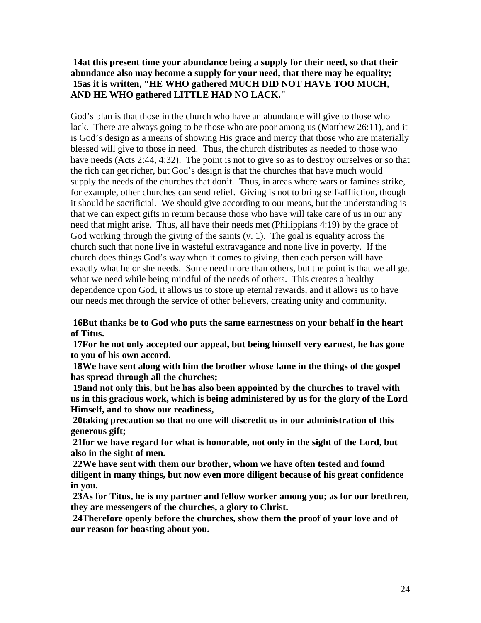# **14at this present time your abundance being a supply for their need, so that their abundance also may become a supply for your need, that there may be equality; 15as it is written, "HE WHO gathered MUCH DID NOT HAVE TOO MUCH, AND HE WHO gathered LITTLE HAD NO LACK."**

God's plan is that those in the church who have an abundance will give to those who lack. There are always going to be those who are poor among us (Matthew 26:11), and it is God's design as a means of showing His grace and mercy that those who are materially blessed will give to those in need. Thus, the church distributes as needed to those who have needs (Acts 2:44, 4:32). The point is not to give so as to destroy ourselves or so that the rich can get richer, but God's design is that the churches that have much would supply the needs of the churches that don't. Thus, in areas where wars or famines strike, for example, other churches can send relief. Giving is not to bring self-affliction, though it should be sacrificial. We should give according to our means, but the understanding is that we can expect gifts in return because those who have will take care of us in our any need that might arise. Thus, all have their needs met (Philippians 4:19) by the grace of God working through the giving of the saints (v. 1). The goal is equality across the church such that none live in wasteful extravagance and none live in poverty. If the church does things God's way when it comes to giving, then each person will have exactly what he or she needs. Some need more than others, but the point is that we all get what we need while being mindful of the needs of others. This creates a healthy dependence upon God, it allows us to store up eternal rewards, and it allows us to have our needs met through the service of other believers, creating unity and community.

**16But thanks be to God who puts the same earnestness on your behalf in the heart of Titus.** 

**17For he not only accepted our appeal, but being himself very earnest, he has gone to you of his own accord.** 

**18We have sent along with him the brother whose fame in the things of the gospel has spread through all the churches;** 

**19and not only this, but he has also been appointed by the churches to travel with us in this gracious work, which is being administered by us for the glory of the Lord Himself, and to show our readiness,** 

**20taking precaution so that no one will discredit us in our administration of this generous gift;** 

**21for we have regard for what is honorable, not only in the sight of the Lord, but also in the sight of men.** 

**22We have sent with them our brother, whom we have often tested and found diligent in many things, but now even more diligent because of his great confidence in you.** 

**23As for Titus, he is my partner and fellow worker among you; as for our brethren, they are messengers of the churches, a glory to Christ.** 

**24Therefore openly before the churches, show them the proof of your love and of our reason for boasting about you.**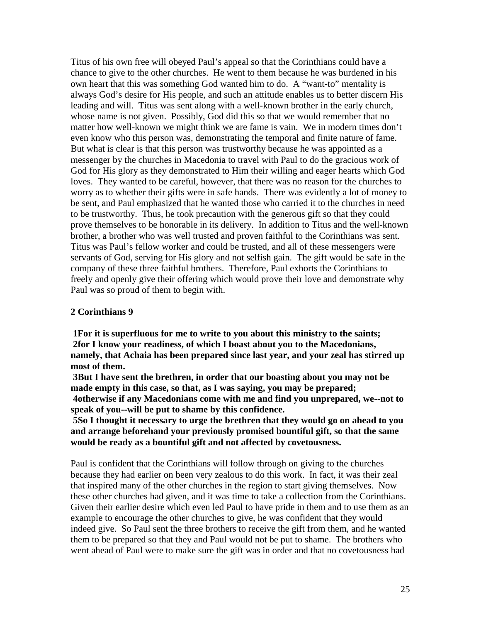Titus of his own free will obeyed Paul's appeal so that the Corinthians could have a chance to give to the other churches. He went to them because he was burdened in his own heart that this was something God wanted him to do. A "want-to" mentality is always God's desire for His people, and such an attitude enables us to better discern His leading and will. Titus was sent along with a well-known brother in the early church, whose name is not given. Possibly, God did this so that we would remember that no matter how well-known we might think we are fame is vain. We in modern times don't even know who this person was, demonstrating the temporal and finite nature of fame. But what is clear is that this person was trustworthy because he was appointed as a messenger by the churches in Macedonia to travel with Paul to do the gracious work of God for His glory as they demonstrated to Him their willing and eager hearts which God loves. They wanted to be careful, however, that there was no reason for the churches to worry as to whether their gifts were in safe hands. There was evidently a lot of money to be sent, and Paul emphasized that he wanted those who carried it to the churches in need to be trustworthy. Thus, he took precaution with the generous gift so that they could prove themselves to be honorable in its delivery. In addition to Titus and the well-known brother, a brother who was well trusted and proven faithful to the Corinthians was sent. Titus was Paul's fellow worker and could be trusted, and all of these messengers were servants of God, serving for His glory and not selfish gain. The gift would be safe in the company of these three faithful brothers. Therefore, Paul exhorts the Corinthians to freely and openly give their offering which would prove their love and demonstrate why Paul was so proud of them to begin with.

### **2 Corinthians 9**

**1For it is superfluous for me to write to you about this ministry to the saints; 2for I know your readiness, of which I boast about you to the Macedonians, namely, that Achaia has been prepared since last year, and your zeal has stirred up most of them.** 

**3But I have sent the brethren, in order that our boasting about you may not be made empty in this case, so that, as I was saying, you may be prepared; 4otherwise if any Macedonians come with me and find you unprepared, we--not to speak of you--will be put to shame by this confidence.** 

**5So I thought it necessary to urge the brethren that they would go on ahead to you and arrange beforehand your previously promised bountiful gift, so that the same would be ready as a bountiful gift and not affected by covetousness.** 

Paul is confident that the Corinthians will follow through on giving to the churches because they had earlier on been very zealous to do this work. In fact, it was their zeal that inspired many of the other churches in the region to start giving themselves. Now these other churches had given, and it was time to take a collection from the Corinthians. Given their earlier desire which even led Paul to have pride in them and to use them as an example to encourage the other churches to give, he was confident that they would indeed give. So Paul sent the three brothers to receive the gift from them, and he wanted them to be prepared so that they and Paul would not be put to shame. The brothers who went ahead of Paul were to make sure the gift was in order and that no covetousness had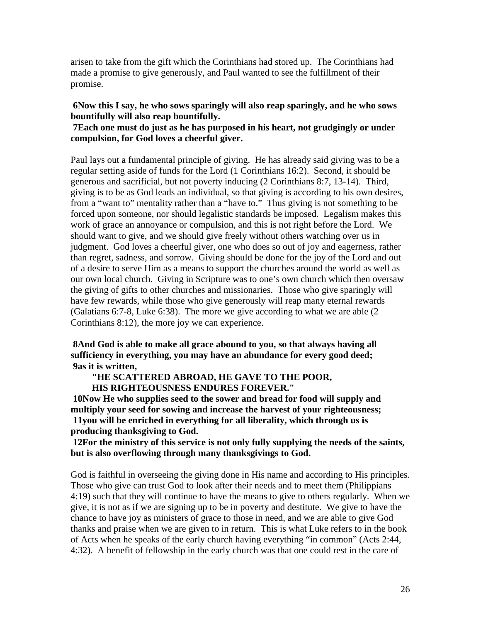arisen to take from the gift which the Corinthians had stored up. The Corinthians had made a promise to give generously, and Paul wanted to see the fulfillment of their promise.

# **6Now this I say, he who sows sparingly will also reap sparingly, and he who sows bountifully will also reap bountifully.**

# **7Each one must do just as he has purposed in his heart, not grudgingly or under compulsion, for God loves a cheerful giver.**

Paul lays out a fundamental principle of giving. He has already said giving was to be a regular setting aside of funds for the Lord (1 Corinthians 16:2). Second, it should be generous and sacrificial, but not poverty inducing (2 Corinthians 8:7, 13-14). Third, giving is to be as God leads an individual, so that giving is according to his own desires, from a "want to" mentality rather than a "have to." Thus giving is not something to be forced upon someone, nor should legalistic standards be imposed. Legalism makes this work of grace an annoyance or compulsion, and this is not right before the Lord. We should want to give, and we should give freely without others watching over us in judgment. God loves a cheerful giver, one who does so out of joy and eagerness, rather than regret, sadness, and sorrow. Giving should be done for the joy of the Lord and out of a desire to serve Him as a means to support the churches around the world as well as our own local church. Giving in Scripture was to one's own church which then oversaw the giving of gifts to other churches and missionaries. Those who give sparingly will have few rewards, while those who give generously will reap many eternal rewards (Galatians 6:7-8, Luke 6:38). The more we give according to what we are able (2 Corinthians 8:12), the more joy we can experience.

**8And God is able to make all grace abound to you, so that always having all sufficiency in everything, you may have an abundance for every good deed; 9as it is written,**

**"HE SCATTERED ABROAD, HE GAVE TO THE POOR, HIS RIGHTEOUSNESS ENDURES FOREVER."** 

**10Now He who supplies seed to the sower and bread for food will supply and multiply your seed for sowing and increase the harvest of your righteousness; 11you will be enriched in everything for all liberality, which through us is producing thanksgiving to God.** 

**12For the ministry of this service is not only fully supplying the needs of the saints, but is also overflowing through many thanksgivings to God.** 

God is faithful in overseeing the giving done in His name and according to His principles. Those who give can trust God to look after their needs and to meet them (Philippians 4:19) such that they will continue to have the means to give to others regularly. When we give, it is not as if we are signing up to be in poverty and destitute. We give to have the chance to have joy as ministers of grace to those in need, and we are able to give God thanks and praise when we are given to in return. This is what Luke refers to in the book of Acts when he speaks of the early church having everything "in common" (Acts 2:44, 4:32). A benefit of fellowship in the early church was that one could rest in the care of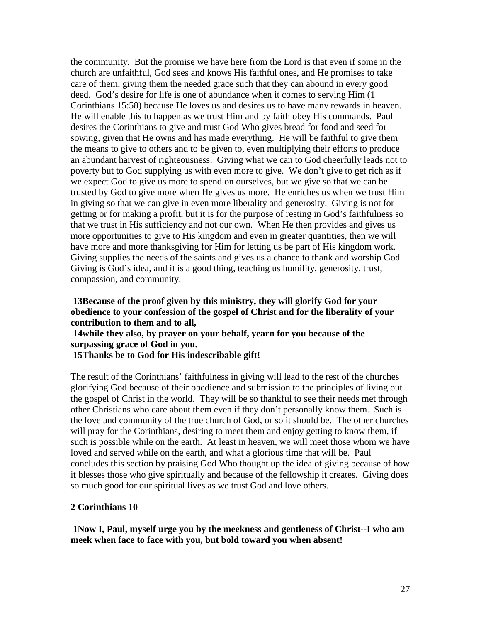the community. But the promise we have here from the Lord is that even if some in the church are unfaithful, God sees and knows His faithful ones, and He promises to take care of them, giving them the needed grace such that they can abound in every good deed. God's desire for life is one of abundance when it comes to serving Him (1 Corinthians 15:58) because He loves us and desires us to have many rewards in heaven. He will enable this to happen as we trust Him and by faith obey His commands. Paul desires the Corinthians to give and trust God Who gives bread for food and seed for sowing, given that He owns and has made everything. He will be faithful to give them the means to give to others and to be given to, even multiplying their efforts to produce an abundant harvest of righteousness. Giving what we can to God cheerfully leads not to poverty but to God supplying us with even more to give. We don't give to get rich as if we expect God to give us more to spend on ourselves, but we give so that we can be trusted by God to give more when He gives us more. He enriches us when we trust Him in giving so that we can give in even more liberality and generosity. Giving is not for getting or for making a profit, but it is for the purpose of resting in God's faithfulness so that we trust in His sufficiency and not our own. When He then provides and gives us more opportunities to give to His kingdom and even in greater quantities, then we will have more and more thanksgiving for Him for letting us be part of His kingdom work. Giving supplies the needs of the saints and gives us a chance to thank and worship God. Giving is God's idea, and it is a good thing, teaching us humility, generosity, trust, compassion, and community.

### **13Because of the proof given by this ministry, they will glorify God for your obedience to your confession of the gospel of Christ and for the liberality of your contribution to them and to all,**

**14while they also, by prayer on your behalf, yearn for you because of the surpassing grace of God in you.** 

**15Thanks be to God for His indescribable gift!** 

The result of the Corinthians' faithfulness in giving will lead to the rest of the churches glorifying God because of their obedience and submission to the principles of living out the gospel of Christ in the world. They will be so thankful to see their needs met through other Christians who care about them even if they don't personally know them. Such is the love and community of the true church of God, or so it should be. The other churches will pray for the Corinthians, desiring to meet them and enjoy getting to know them, if such is possible while on the earth. At least in heaven, we will meet those whom we have loved and served while on the earth, and what a glorious time that will be. Paul concludes this section by praising God Who thought up the idea of giving because of how it blesses those who give spiritually and because of the fellowship it creates. Giving does so much good for our spiritual lives as we trust God and love others.

### **2 Corinthians 10**

**1Now I, Paul, myself urge you by the meekness and gentleness of Christ--I who am meek when face to face with you, but bold toward you when absent!**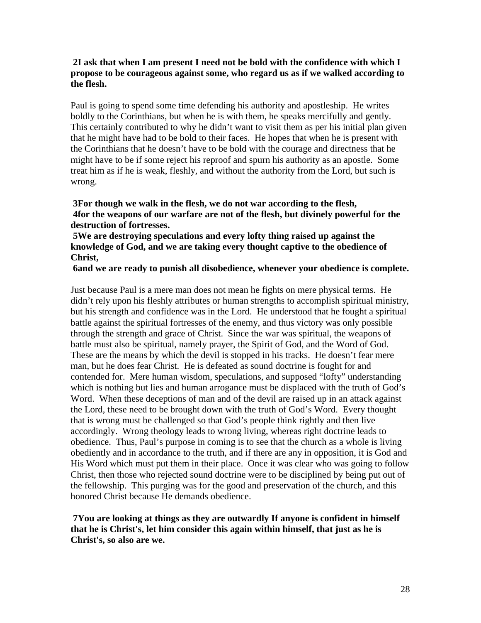# **2I ask that when I am present I need not be bold with the confidence with which I propose to be courageous against some, who regard us as if we walked according to the flesh.**

Paul is going to spend some time defending his authority and apostleship. He writes boldly to the Corinthians, but when he is with them, he speaks mercifully and gently. This certainly contributed to why he didn't want to visit them as per his initial plan given that he might have had to be bold to their faces. He hopes that when he is present with the Corinthians that he doesn't have to be bold with the courage and directness that he might have to be if some reject his reproof and spurn his authority as an apostle. Some treat him as if he is weak, fleshly, and without the authority from the Lord, but such is wrong.

**3For though we walk in the flesh, we do not war according to the flesh, 4for the weapons of our warfare are not of the flesh, but divinely powerful for the destruction of fortresses.** 

**5We are destroying speculations and every lofty thing raised up against the knowledge of God, and we are taking every thought captive to the obedience of Christ,** 

### **6and we are ready to punish all disobedience, whenever your obedience is complete.**

Just because Paul is a mere man does not mean he fights on mere physical terms. He didn't rely upon his fleshly attributes or human strengths to accomplish spiritual ministry, but his strength and confidence was in the Lord. He understood that he fought a spiritual battle against the spiritual fortresses of the enemy, and thus victory was only possible through the strength and grace of Christ. Since the war was spiritual, the weapons of battle must also be spiritual, namely prayer, the Spirit of God, and the Word of God. These are the means by which the devil is stopped in his tracks. He doesn't fear mere man, but he does fear Christ. He is defeated as sound doctrine is fought for and contended for. Mere human wisdom, speculations, and supposed "lofty" understanding which is nothing but lies and human arrogance must be displaced with the truth of God's Word. When these deceptions of man and of the devil are raised up in an attack against the Lord, these need to be brought down with the truth of God's Word. Every thought that is wrong must be challenged so that God's people think rightly and then live accordingly. Wrong theology leads to wrong living, whereas right doctrine leads to obedience. Thus, Paul's purpose in coming is to see that the church as a whole is living obediently and in accordance to the truth, and if there are any in opposition, it is God and His Word which must put them in their place. Once it was clear who was going to follow Christ, then those who rejected sound doctrine were to be disciplined by being put out of the fellowship. This purging was for the good and preservation of the church, and this honored Christ because He demands obedience.

**7You are looking at things as they are outwardly If anyone is confident in himself that he is Christ's, let him consider this again within himself, that just as he is Christ's, so also are we.**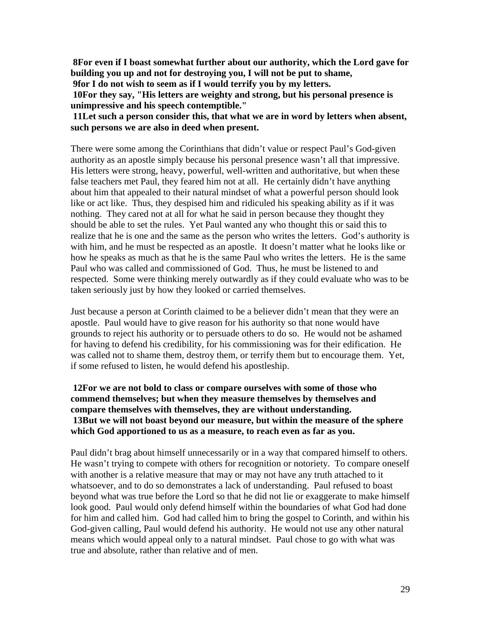**8For even if I boast somewhat further about our authority, which the Lord gave for building you up and not for destroying you, I will not be put to shame,** 

**9for I do not wish to seem as if I would terrify you by my letters.** 

**10For they say, "His letters are weighty and strong, but his personal presence is unimpressive and his speech contemptible."** 

**11Let such a person consider this, that what we are in word by letters when absent, such persons we are also in deed when present.** 

There were some among the Corinthians that didn't value or respect Paul's God-given authority as an apostle simply because his personal presence wasn't all that impressive. His letters were strong, heavy, powerful, well-written and authoritative, but when these false teachers met Paul, they feared him not at all. He certainly didn't have anything about him that appealed to their natural mindset of what a powerful person should look like or act like. Thus, they despised him and ridiculed his speaking ability as if it was nothing. They cared not at all for what he said in person because they thought they should be able to set the rules. Yet Paul wanted any who thought this or said this to realize that he is one and the same as the person who writes the letters. God's authority is with him, and he must be respected as an apostle. It doesn't matter what he looks like or how he speaks as much as that he is the same Paul who writes the letters. He is the same Paul who was called and commissioned of God. Thus, he must be listened to and respected. Some were thinking merely outwardly as if they could evaluate who was to be taken seriously just by how they looked or carried themselves.

Just because a person at Corinth claimed to be a believer didn't mean that they were an apostle. Paul would have to give reason for his authority so that none would have grounds to reject his authority or to persuade others to do so. He would not be ashamed for having to defend his credibility, for his commissioning was for their edification. He was called not to shame them, destroy them, or terrify them but to encourage them. Yet, if some refused to listen, he would defend his apostleship.

# **12For we are not bold to class or compare ourselves with some of those who commend themselves; but when they measure themselves by themselves and compare themselves with themselves, they are without understanding. 13But we will not boast beyond our measure, but within the measure of the sphere which God apportioned to us as a measure, to reach even as far as you.**

Paul didn't brag about himself unnecessarily or in a way that compared himself to others. He wasn't trying to compete with others for recognition or notoriety. To compare oneself with another is a relative measure that may or may not have any truth attached to it whatsoever, and to do so demonstrates a lack of understanding. Paul refused to boast beyond what was true before the Lord so that he did not lie or exaggerate to make himself look good. Paul would only defend himself within the boundaries of what God had done for him and called him. God had called him to bring the gospel to Corinth, and within his God-given calling, Paul would defend his authority. He would not use any other natural means which would appeal only to a natural mindset. Paul chose to go with what was true and absolute, rather than relative and of men.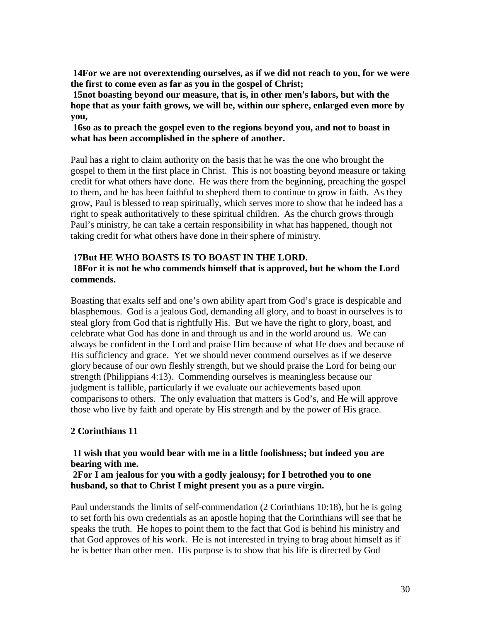**14For we are not overextending ourselves, as if we did not reach to you, for we were the first to come even as far as you in the gospel of Christ;** 

**15not boasting beyond our measure, that is, in other men's labors, but with the hope that as your faith grows, we will be, within our sphere, enlarged even more by you,** 

# **16so as to preach the gospel even to the regions beyond you, and not to boast in what has been accomplished in the sphere of another.**

Paul has a right to claim authority on the basis that he was the one who brought the gospel to them in the first place in Christ. This is not boasting beyond measure or taking credit for what others have done. He was there from the beginning, preaching the gospel to them, and he has been faithful to shepherd them to continue to grow in faith. As they grow, Paul is blessed to reap spiritually, which serves more to show that he indeed has a right to speak authoritatively to these spiritual children. As the church grows through Paul's ministry, he can take a certain responsibility in what has happened, though not taking credit for what others have done in their sphere of ministry.

# **17But HE WHO BOASTS IS TO BOAST IN THE LORD. 18For it is not he who commends himself that is approved, but he whom the Lord commends.**

Boasting that exalts self and one's own ability apart from God's grace is despicable and blasphemous. God is a jealous God, demanding all glory, and to boast in ourselves is to steal glory from God that is rightfully His. But we have the right to glory, boast, and celebrate what God has done in and through us and in the world around us. We can always be confident in the Lord and praise Him because of what He does and because of His sufficiency and grace. Yet we should never commend ourselves as if we deserve glory because of our own fleshly strength, but we should praise the Lord for being our strength (Philippians 4:13). Commending ourselves is meaningless because our judgment is fallible, particularly if we evaluate our achievements based upon comparisons to others. The only evaluation that matters is God's, and He will approve those who live by faith and operate by His strength and by the power of His grace.

# **2 Corinthians 11**

# **1I wish that you would bear with me in a little foolishness; but indeed you are bearing with me.**

### **2For I am jealous for you with a godly jealousy; for I betrothed you to one husband, so that to Christ I might present you as a pure virgin.**

Paul understands the limits of self-commendation (2 Corinthians 10:18), but he is going to set forth his own credentials as an apostle hoping that the Corinthians will see that he speaks the truth. He hopes to point them to the fact that God is behind his ministry and that God approves of his work. He is not interested in trying to brag about himself as if he is better than other men. His purpose is to show that his life is directed by God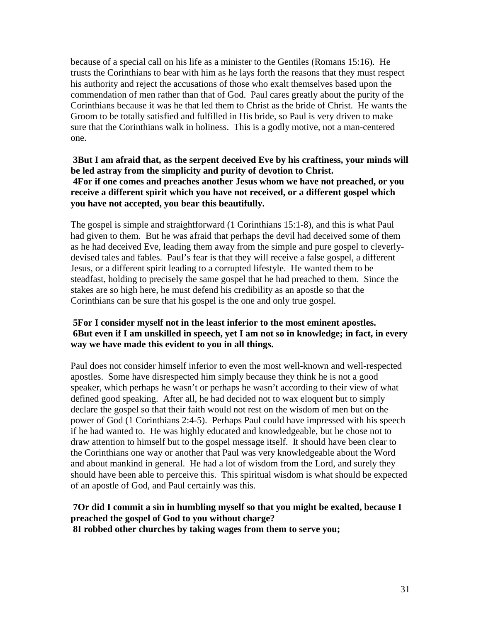because of a special call on his life as a minister to the Gentiles (Romans 15:16). He trusts the Corinthians to bear with him as he lays forth the reasons that they must respect his authority and reject the accusations of those who exalt themselves based upon the commendation of men rather than that of God. Paul cares greatly about the purity of the Corinthians because it was he that led them to Christ as the bride of Christ. He wants the Groom to be totally satisfied and fulfilled in His bride, so Paul is very driven to make sure that the Corinthians walk in holiness. This is a godly motive, not a man-centered one.

**3But I am afraid that, as the serpent deceived Eve by his craftiness, your minds will be led astray from the simplicity and purity of devotion to Christ. 4For if one comes and preaches another Jesus whom we have not preached, or you receive a different spirit which you have not received, or a different gospel which you have not accepted, you bear this beautifully.** 

The gospel is simple and straightforward (1 Corinthians 15:1-8), and this is what Paul had given to them. But he was afraid that perhaps the devil had deceived some of them as he had deceived Eve, leading them away from the simple and pure gospel to cleverlydevised tales and fables. Paul's fear is that they will receive a false gospel, a different Jesus, or a different spirit leading to a corrupted lifestyle. He wanted them to be steadfast, holding to precisely the same gospel that he had preached to them. Since the stakes are so high here, he must defend his credibility as an apostle so that the Corinthians can be sure that his gospel is the one and only true gospel.

# **5For I consider myself not in the least inferior to the most eminent apostles. 6But even if I am unskilled in speech, yet I am not so in knowledge; in fact, in every way we have made this evident to you in all things.**

Paul does not consider himself inferior to even the most well-known and well-respected apostles. Some have disrespected him simply because they think he is not a good speaker, which perhaps he wasn't or perhaps he wasn't according to their view of what defined good speaking. After all, he had decided not to wax eloquent but to simply declare the gospel so that their faith would not rest on the wisdom of men but on the power of God (1 Corinthians 2:4-5). Perhaps Paul could have impressed with his speech if he had wanted to. He was highly educated and knowledgeable, but he chose not to draw attention to himself but to the gospel message itself. It should have been clear to the Corinthians one way or another that Paul was very knowledgeable about the Word and about mankind in general. He had a lot of wisdom from the Lord, and surely they should have been able to perceive this. This spiritual wisdom is what should be expected of an apostle of God, and Paul certainly was this.

#### **7Or did I commit a sin in humbling myself so that you might be exalted, because I preached the gospel of God to you without charge? 8I robbed other churches by taking wages from them to serve you;**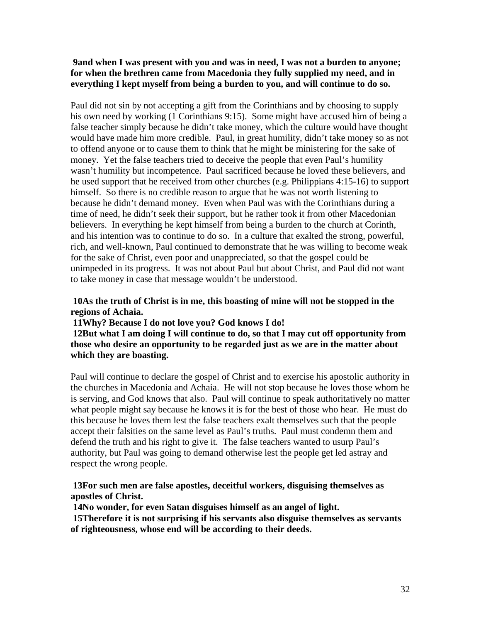# **9and when I was present with you and was in need, I was not a burden to anyone; for when the brethren came from Macedonia they fully supplied my need, and in everything I kept myself from being a burden to you, and will continue to do so.**

Paul did not sin by not accepting a gift from the Corinthians and by choosing to supply his own need by working (1 Corinthians 9:15). Some might have accused him of being a false teacher simply because he didn't take money, which the culture would have thought would have made him more credible. Paul, in great humility, didn't take money so as not to offend anyone or to cause them to think that he might be ministering for the sake of money. Yet the false teachers tried to deceive the people that even Paul's humility wasn't humility but incompetence. Paul sacrificed because he loved these believers, and he used support that he received from other churches (e.g. Philippians 4:15-16) to support himself. So there is no credible reason to argue that he was not worth listening to because he didn't demand money. Even when Paul was with the Corinthians during a time of need, he didn't seek their support, but he rather took it from other Macedonian believers. In everything he kept himself from being a burden to the church at Corinth, and his intention was to continue to do so. In a culture that exalted the strong, powerful, rich, and well-known, Paul continued to demonstrate that he was willing to become weak for the sake of Christ, even poor and unappreciated, so that the gospel could be unimpeded in its progress. It was not about Paul but about Christ, and Paul did not want to take money in case that message wouldn't be understood.

# **10As the truth of Christ is in me, this boasting of mine will not be stopped in the regions of Achaia.**

### **11Why? Because I do not love you? God knows I do!**

**12But what I am doing I will continue to do, so that I may cut off opportunity from those who desire an opportunity to be regarded just as we are in the matter about which they are boasting.** 

Paul will continue to declare the gospel of Christ and to exercise his apostolic authority in the churches in Macedonia and Achaia. He will not stop because he loves those whom he is serving, and God knows that also. Paul will continue to speak authoritatively no matter what people might say because he knows it is for the best of those who hear. He must do this because he loves them lest the false teachers exalt themselves such that the people accept their falsities on the same level as Paul's truths. Paul must condemn them and defend the truth and his right to give it. The false teachers wanted to usurp Paul's authority, but Paul was going to demand otherwise lest the people get led astray and respect the wrong people.

# **13For such men are false apostles, deceitful workers, disguising themselves as apostles of Christ.**

**14No wonder, for even Satan disguises himself as an angel of light.** 

**15Therefore it is not surprising if his servants also disguise themselves as servants of righteousness, whose end will be according to their deeds.**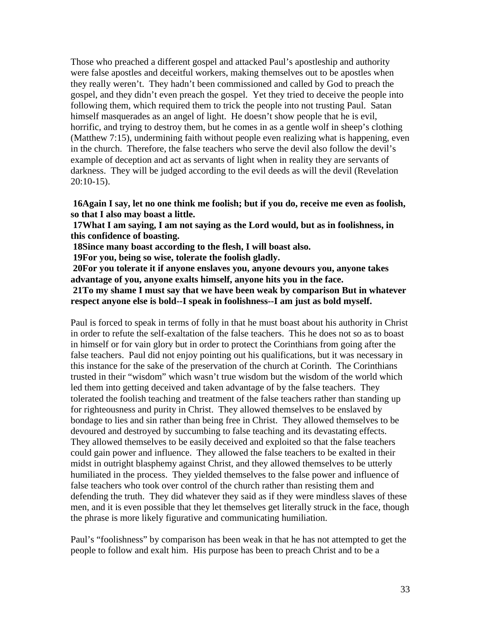Those who preached a different gospel and attacked Paul's apostleship and authority were false apostles and deceitful workers, making themselves out to be apostles when they really weren't. They hadn't been commissioned and called by God to preach the gospel, and they didn't even preach the gospel. Yet they tried to deceive the people into following them, which required them to trick the people into not trusting Paul. Satan himself masquerades as an angel of light. He doesn't show people that he is evil, horrific, and trying to destroy them, but he comes in as a gentle wolf in sheep's clothing (Matthew 7:15), undermining faith without people even realizing what is happening, even in the church. Therefore, the false teachers who serve the devil also follow the devil's example of deception and act as servants of light when in reality they are servants of darkness. They will be judged according to the evil deeds as will the devil (Revelation 20:10-15).

**16Again I say, let no one think me foolish; but if you do, receive me even as foolish, so that I also may boast a little.** 

**17What I am saying, I am not saying as the Lord would, but as in foolishness, in this confidence of boasting.** 

**18Since many boast according to the flesh, I will boast also.** 

**19For you, being so wise, tolerate the foolish gladly.** 

**20For you tolerate it if anyone enslaves you, anyone devours you, anyone takes advantage of you, anyone exalts himself, anyone hits you in the face.** 

**21To my shame I must say that we have been weak by comparison But in whatever respect anyone else is bold--I speak in foolishness--I am just as bold myself.** 

Paul is forced to speak in terms of folly in that he must boast about his authority in Christ in order to refute the self-exaltation of the false teachers. This he does not so as to boast in himself or for vain glory but in order to protect the Corinthians from going after the false teachers. Paul did not enjoy pointing out his qualifications, but it was necessary in this instance for the sake of the preservation of the church at Corinth. The Corinthians trusted in their "wisdom" which wasn't true wisdom but the wisdom of the world which led them into getting deceived and taken advantage of by the false teachers. They tolerated the foolish teaching and treatment of the false teachers rather than standing up for righteousness and purity in Christ. They allowed themselves to be enslaved by bondage to lies and sin rather than being free in Christ. They allowed themselves to be devoured and destroyed by succumbing to false teaching and its devastating effects. They allowed themselves to be easily deceived and exploited so that the false teachers could gain power and influence. They allowed the false teachers to be exalted in their midst in outright blasphemy against Christ, and they allowed themselves to be utterly humiliated in the process. They yielded themselves to the false power and influence of false teachers who took over control of the church rather than resisting them and defending the truth. They did whatever they said as if they were mindless slaves of these men, and it is even possible that they let themselves get literally struck in the face, though the phrase is more likely figurative and communicating humiliation.

Paul's "foolishness" by comparison has been weak in that he has not attempted to get the people to follow and exalt him. His purpose has been to preach Christ and to be a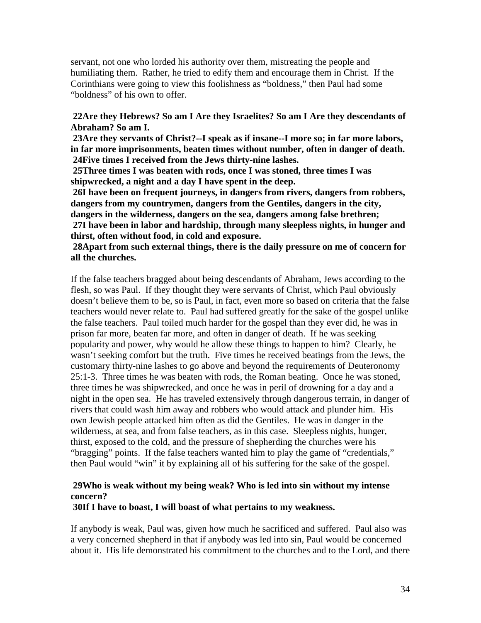servant, not one who lorded his authority over them, mistreating the people and humiliating them. Rather, he tried to edify them and encourage them in Christ. If the Corinthians were going to view this foolishness as "boldness," then Paul had some "boldness" of his own to offer.

# **22Are they Hebrews? So am I Are they Israelites? So am I Are they descendants of Abraham? So am I.**

**23Are they servants of Christ?--I speak as if insane--I more so; in far more labors, in far more imprisonments, beaten times without number, often in danger of death. 24Five times I received from the Jews thirty-nine lashes.** 

**25Three times I was beaten with rods, once I was stoned, three times I was shipwrecked, a night and a day I have spent in the deep.** 

**26I have been on frequent journeys, in dangers from rivers, dangers from robbers, dangers from my countrymen, dangers from the Gentiles, dangers in the city, dangers in the wilderness, dangers on the sea, dangers among false brethren; 27I have been in labor and hardship, through many sleepless nights, in hunger and thirst, often without food, in cold and exposure.** 

# **28Apart from such external things, there is the daily pressure on me of concern for all the churches.**

If the false teachers bragged about being descendants of Abraham, Jews according to the flesh, so was Paul. If they thought they were servants of Christ, which Paul obviously doesn't believe them to be, so is Paul, in fact, even more so based on criteria that the false teachers would never relate to. Paul had suffered greatly for the sake of the gospel unlike the false teachers. Paul toiled much harder for the gospel than they ever did, he was in prison far more, beaten far more, and often in danger of death. If he was seeking popularity and power, why would he allow these things to happen to him? Clearly, he wasn't seeking comfort but the truth. Five times he received beatings from the Jews, the customary thirty-nine lashes to go above and beyond the requirements of Deuteronomy 25:1-3. Three times he was beaten with rods, the Roman beating. Once he was stoned, three times he was shipwrecked, and once he was in peril of drowning for a day and a night in the open sea. He has traveled extensively through dangerous terrain, in danger of rivers that could wash him away and robbers who would attack and plunder him. His own Jewish people attacked him often as did the Gentiles. He was in danger in the wilderness, at sea, and from false teachers, as in this case. Sleepless nights, hunger, thirst, exposed to the cold, and the pressure of shepherding the churches were his "bragging" points. If the false teachers wanted him to play the game of "credentials," then Paul would "win" it by explaining all of his suffering for the sake of the gospel.

# **29Who is weak without my being weak? Who is led into sin without my intense concern?**

### **30If I have to boast, I will boast of what pertains to my weakness.**

If anybody is weak, Paul was, given how much he sacrificed and suffered. Paul also was a very concerned shepherd in that if anybody was led into sin, Paul would be concerned about it. His life demonstrated his commitment to the churches and to the Lord, and there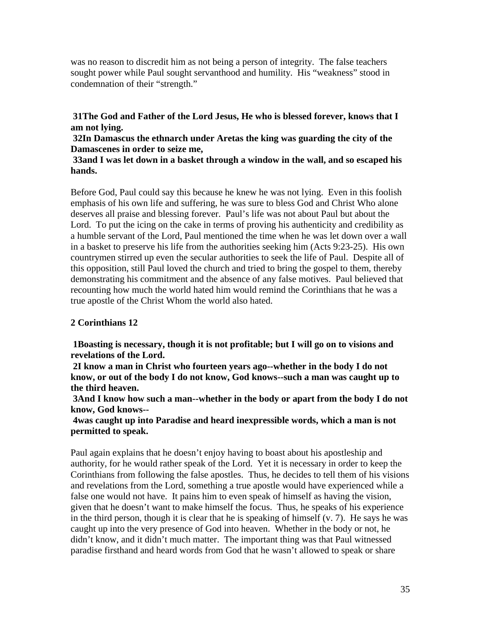was no reason to discredit him as not being a person of integrity. The false teachers sought power while Paul sought servanthood and humility. His "weakness" stood in condemnation of their "strength."

**31The God and Father of the Lord Jesus, He who is blessed forever, knows that I am not lying.** 

**32In Damascus the ethnarch under Aretas the king was guarding the city of the Damascenes in order to seize me,** 

# **33and I was let down in a basket through a window in the wall, and so escaped his hands.**

Before God, Paul could say this because he knew he was not lying. Even in this foolish emphasis of his own life and suffering, he was sure to bless God and Christ Who alone deserves all praise and blessing forever. Paul's life was not about Paul but about the Lord. To put the icing on the cake in terms of proving his authenticity and credibility as a humble servant of the Lord, Paul mentioned the time when he was let down over a wall in a basket to preserve his life from the authorities seeking him (Acts 9:23-25). His own countrymen stirred up even the secular authorities to seek the life of Paul. Despite all of this opposition, still Paul loved the church and tried to bring the gospel to them, thereby demonstrating his commitment and the absence of any false motives. Paul believed that recounting how much the world hated him would remind the Corinthians that he was a true apostle of the Christ Whom the world also hated.

# **2 Corinthians 12**

**1Boasting is necessary, though it is not profitable; but I will go on to visions and revelations of the Lord.** 

**2I know a man in Christ who fourteen years ago--whether in the body I do not know, or out of the body I do not know, God knows--such a man was caught up to the third heaven.** 

**3And I know how such a man--whether in the body or apart from the body I do not know, God knows--**

**4was caught up into Paradise and heard inexpressible words, which a man is not permitted to speak.** 

Paul again explains that he doesn't enjoy having to boast about his apostleship and authority, for he would rather speak of the Lord. Yet it is necessary in order to keep the Corinthians from following the false apostles. Thus, he decides to tell them of his visions and revelations from the Lord, something a true apostle would have experienced while a false one would not have. It pains him to even speak of himself as having the vision, given that he doesn't want to make himself the focus. Thus, he speaks of his experience in the third person, though it is clear that he is speaking of himself (v. 7). He says he was caught up into the very presence of God into heaven. Whether in the body or not, he didn't know, and it didn't much matter. The important thing was that Paul witnessed paradise firsthand and heard words from God that he wasn't allowed to speak or share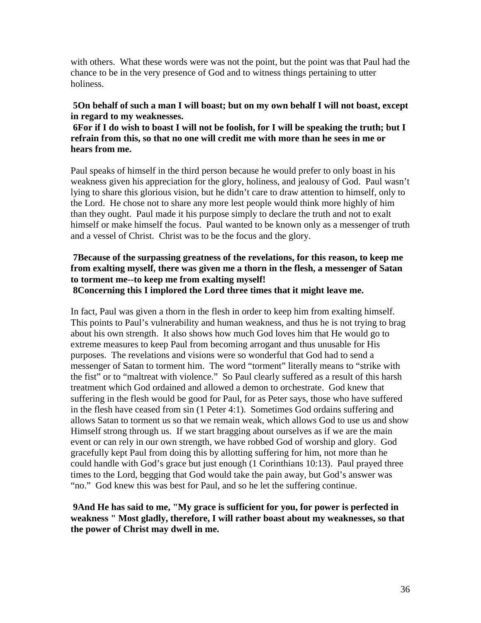with others. What these words were was not the point, but the point was that Paul had the chance to be in the very presence of God and to witness things pertaining to utter holiness.

# **5On behalf of such a man I will boast; but on my own behalf I will not boast, except in regard to my weaknesses.**

**6For if I do wish to boast I will not be foolish, for I will be speaking the truth; but I refrain from this, so that no one will credit me with more than he sees in me or hears from me.** 

Paul speaks of himself in the third person because he would prefer to only boast in his weakness given his appreciation for the glory, holiness, and jealousy of God. Paul wasn't lying to share this glorious vision, but he didn't care to draw attention to himself, only to the Lord. He chose not to share any more lest people would think more highly of him than they ought. Paul made it his purpose simply to declare the truth and not to exalt himself or make himself the focus. Paul wanted to be known only as a messenger of truth and a vessel of Christ. Christ was to be the focus and the glory.

### **7Because of the surpassing greatness of the revelations, for this reason, to keep me from exalting myself, there was given me a thorn in the flesh, a messenger of Satan to torment me--to keep me from exalting myself! 8Concerning this I implored the Lord three times that it might leave me.**

In fact, Paul was given a thorn in the flesh in order to keep him from exalting himself. This points to Paul's vulnerability and human weakness, and thus he is not trying to brag about his own strength. It also shows how much God loves him that He would go to extreme measures to keep Paul from becoming arrogant and thus unusable for His purposes. The revelations and visions were so wonderful that God had to send a messenger of Satan to torment him. The word "torment" literally means to "strike with the fist" or to "maltreat with violence." So Paul clearly suffered as a result of this harsh treatment which God ordained and allowed a demon to orchestrate. God knew that suffering in the flesh would be good for Paul, for as Peter says, those who have suffered in the flesh have ceased from sin (1 Peter 4:1). Sometimes God ordains suffering and allows Satan to torment us so that we remain weak, which allows God to use us and show Himself strong through us. If we start bragging about ourselves as if we are the main event or can rely in our own strength, we have robbed God of worship and glory. God gracefully kept Paul from doing this by allotting suffering for him, not more than he could handle with God's grace but just enough (1 Corinthians 10:13). Paul prayed three times to the Lord, begging that God would take the pain away, but God's answer was "no." God knew this was best for Paul, and so he let the suffering continue.

# **9And He has said to me, "My grace is sufficient for you, for power is perfected in weakness " Most gladly, therefore, I will rather boast about my weaknesses, so that the power of Christ may dwell in me.**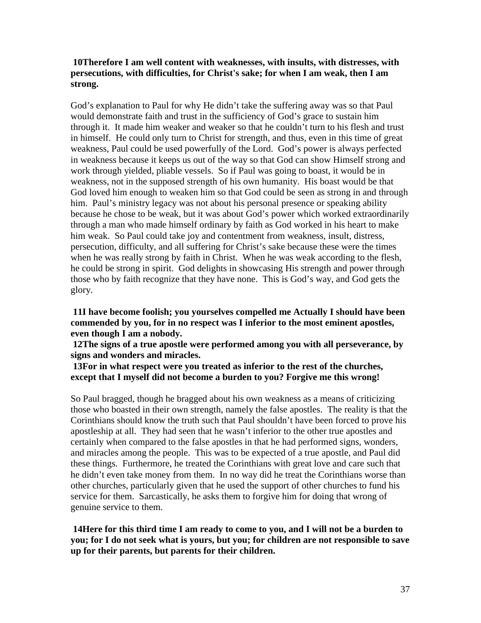# **10Therefore I am well content with weaknesses, with insults, with distresses, with persecutions, with difficulties, for Christ's sake; for when I am weak, then I am strong.**

God's explanation to Paul for why He didn't take the suffering away was so that Paul would demonstrate faith and trust in the sufficiency of God's grace to sustain him through it. It made him weaker and weaker so that he couldn't turn to his flesh and trust in himself. He could only turn to Christ for strength, and thus, even in this time of great weakness, Paul could be used powerfully of the Lord. God's power is always perfected in weakness because it keeps us out of the way so that God can show Himself strong and work through yielded, pliable vessels. So if Paul was going to boast, it would be in weakness, not in the supposed strength of his own humanity. His boast would be that God loved him enough to weaken him so that God could be seen as strong in and through him. Paul's ministry legacy was not about his personal presence or speaking ability because he chose to be weak, but it was about God's power which worked extraordinarily through a man who made himself ordinary by faith as God worked in his heart to make him weak. So Paul could take joy and contentment from weakness, insult, distress, persecution, difficulty, and all suffering for Christ's sake because these were the times when he was really strong by faith in Christ. When he was weak according to the flesh, he could be strong in spirit. God delights in showcasing His strength and power through those who by faith recognize that they have none. This is God's way, and God gets the glory.

**11I have become foolish; you yourselves compelled me Actually I should have been commended by you, for in no respect was I inferior to the most eminent apostles, even though I am a nobody.** 

**12The signs of a true apostle were performed among you with all perseverance, by signs and wonders and miracles.** 

**13For in what respect were you treated as inferior to the rest of the churches, except that I myself did not become a burden to you? Forgive me this wrong!** 

So Paul bragged, though he bragged about his own weakness as a means of criticizing those who boasted in their own strength, namely the false apostles. The reality is that the Corinthians should know the truth such that Paul shouldn't have been forced to prove his apostleship at all. They had seen that he wasn't inferior to the other true apostles and certainly when compared to the false apostles in that he had performed signs, wonders, and miracles among the people. This was to be expected of a true apostle, and Paul did these things. Furthermore, he treated the Corinthians with great love and care such that he didn't even take money from them. In no way did he treat the Corinthians worse than other churches, particularly given that he used the support of other churches to fund his service for them. Sarcastically, he asks them to forgive him for doing that wrong of genuine service to them.

**14Here for this third time I am ready to come to you, and I will not be a burden to you; for I do not seek what is yours, but you; for children are not responsible to save up for their parents, but parents for their children.**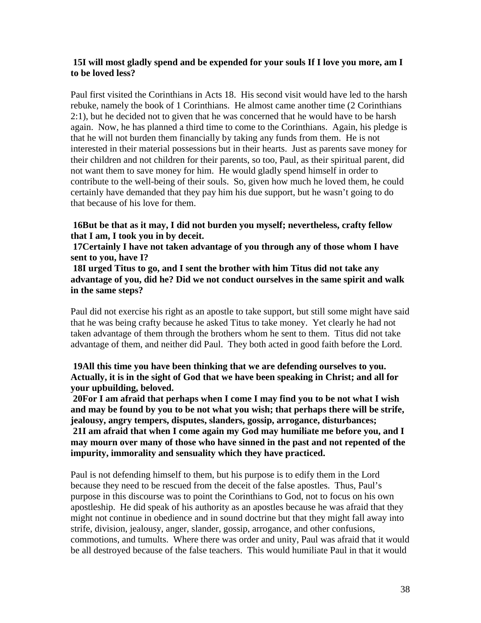### **15I will most gladly spend and be expended for your souls If I love you more, am I to be loved less?**

Paul first visited the Corinthians in Acts 18. His second visit would have led to the harsh rebuke, namely the book of 1 Corinthians. He almost came another time (2 Corinthians 2:1), but he decided not to given that he was concerned that he would have to be harsh again. Now, he has planned a third time to come to the Corinthians. Again, his pledge is that he will not burden them financially by taking any funds from them. He is not interested in their material possessions but in their hearts. Just as parents save money for their children and not children for their parents, so too, Paul, as their spiritual parent, did not want them to save money for him. He would gladly spend himself in order to contribute to the well-being of their souls. So, given how much he loved them, he could certainly have demanded that they pay him his due support, but he wasn't going to do that because of his love for them.

### **16But be that as it may, I did not burden you myself; nevertheless, crafty fellow that I am, I took you in by deceit.**

**17Certainly I have not taken advantage of you through any of those whom I have sent to you, have I?** 

**18I urged Titus to go, and I sent the brother with him Titus did not take any advantage of you, did he? Did we not conduct ourselves in the same spirit and walk in the same steps?** 

Paul did not exercise his right as an apostle to take support, but still some might have said that he was being crafty because he asked Titus to take money. Yet clearly he had not taken advantage of them through the brothers whom he sent to them. Titus did not take advantage of them, and neither did Paul. They both acted in good faith before the Lord.

# **19All this time you have been thinking that we are defending ourselves to you. Actually, it is in the sight of God that we have been speaking in Christ; and all for your upbuilding, beloved.**

**20For I am afraid that perhaps when I come I may find you to be not what I wish and may be found by you to be not what you wish; that perhaps there will be strife, jealousy, angry tempers, disputes, slanders, gossip, arrogance, disturbances; 21I am afraid that when I come again my God may humiliate me before you, and I may mourn over many of those who have sinned in the past and not repented of the impurity, immorality and sensuality which they have practiced.** 

Paul is not defending himself to them, but his purpose is to edify them in the Lord because they need to be rescued from the deceit of the false apostles. Thus, Paul's purpose in this discourse was to point the Corinthians to God, not to focus on his own apostleship. He did speak of his authority as an apostles because he was afraid that they might not continue in obedience and in sound doctrine but that they might fall away into strife, division, jealousy, anger, slander, gossip, arrogance, and other confusions, commotions, and tumults. Where there was order and unity, Paul was afraid that it would be all destroyed because of the false teachers. This would humiliate Paul in that it would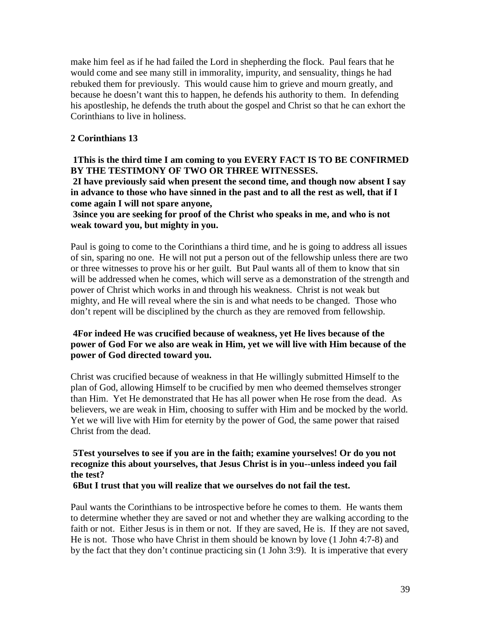make him feel as if he had failed the Lord in shepherding the flock. Paul fears that he would come and see many still in immorality, impurity, and sensuality, things he had rebuked them for previously. This would cause him to grieve and mourn greatly, and because he doesn't want this to happen, he defends his authority to them. In defending his apostleship, he defends the truth about the gospel and Christ so that he can exhort the Corinthians to live in holiness.

# **2 Corinthians 13**

**1This is the third time I am coming to you EVERY FACT IS TO BE CONFIRMED BY THE TESTIMONY OF TWO OR THREE WITNESSES. 2I have previously said when present the second time, and though now absent I say** 

**in advance to those who have sinned in the past and to all the rest as well, that if I come again I will not spare anyone,** 

**3since you are seeking for proof of the Christ who speaks in me, and who is not weak toward you, but mighty in you.** 

Paul is going to come to the Corinthians a third time, and he is going to address all issues of sin, sparing no one. He will not put a person out of the fellowship unless there are two or three witnesses to prove his or her guilt. But Paul wants all of them to know that sin will be addressed when he comes, which will serve as a demonstration of the strength and power of Christ which works in and through his weakness. Christ is not weak but mighty, and He will reveal where the sin is and what needs to be changed. Those who don't repent will be disciplined by the church as they are removed from fellowship.

# **4For indeed He was crucified because of weakness, yet He lives because of the power of God For we also are weak in Him, yet we will live with Him because of the power of God directed toward you.**

Christ was crucified because of weakness in that He willingly submitted Himself to the plan of God, allowing Himself to be crucified by men who deemed themselves stronger than Him. Yet He demonstrated that He has all power when He rose from the dead. As believers, we are weak in Him, choosing to suffer with Him and be mocked by the world. Yet we will live with Him for eternity by the power of God, the same power that raised Christ from the dead.

# **5Test yourselves to see if you are in the faith; examine yourselves! Or do you not recognize this about yourselves, that Jesus Christ is in you--unless indeed you fail the test?**

**6But I trust that you will realize that we ourselves do not fail the test.**

Paul wants the Corinthians to be introspective before he comes to them. He wants them to determine whether they are saved or not and whether they are walking according to the faith or not. Either Jesus is in them or not. If they are saved, He is. If they are not saved, He is not. Those who have Christ in them should be known by love (1 John 4:7-8) and by the fact that they don't continue practicing sin (1 John 3:9). It is imperative that every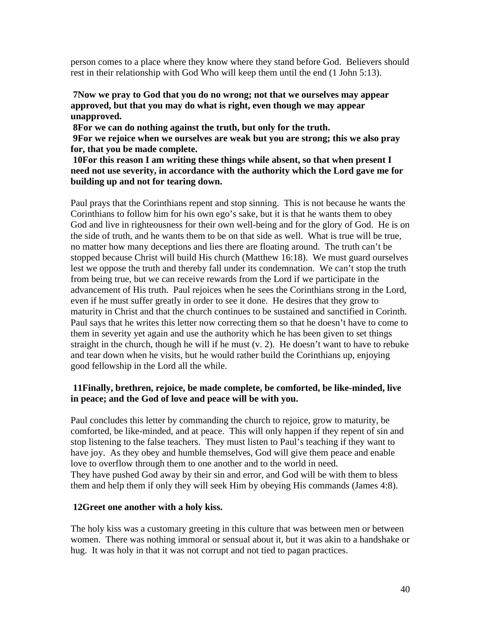person comes to a place where they know where they stand before God. Believers should rest in their relationship with God Who will keep them until the end (1 John 5:13).

**7Now we pray to God that you do no wrong; not that we ourselves may appear approved, but that you may do what is right, even though we may appear unapproved.** 

**8For we can do nothing against the truth, but only for the truth.** 

**9For we rejoice when we ourselves are weak but you are strong; this we also pray for, that you be made complete.** 

**10For this reason I am writing these things while absent, so that when present I need not use severity, in accordance with the authority which the Lord gave me for building up and not for tearing down.** 

Paul prays that the Corinthians repent and stop sinning. This is not because he wants the Corinthians to follow him for his own ego's sake, but it is that he wants them to obey God and live in righteousness for their own well-being and for the glory of God. He is on the side of truth, and he wants them to be on that side as well. What is true will be true, no matter how many deceptions and lies there are floating around. The truth can't be stopped because Christ will build His church (Matthew 16:18). We must guard ourselves lest we oppose the truth and thereby fall under its condemnation. We can't stop the truth from being true, but we can receive rewards from the Lord if we participate in the advancement of His truth. Paul rejoices when he sees the Corinthians strong in the Lord, even if he must suffer greatly in order to see it done. He desires that they grow to maturity in Christ and that the church continues to be sustained and sanctified in Corinth. Paul says that he writes this letter now correcting them so that he doesn't have to come to them in severity yet again and use the authority which he has been given to set things straight in the church, though he will if he must (v. 2). He doesn't want to have to rebuke and tear down when he visits, but he would rather build the Corinthians up, enjoying good fellowship in the Lord all the while.

# **11Finally, brethren, rejoice, be made complete, be comforted, be like-minded, live in peace; and the God of love and peace will be with you.**

Paul concludes this letter by commanding the church to rejoice, grow to maturity, be comforted, be like-minded, and at peace. This will only happen if they repent of sin and stop listening to the false teachers. They must listen to Paul's teaching if they want to have joy. As they obey and humble themselves, God will give them peace and enable love to overflow through them to one another and to the world in need. They have pushed God away by their sin and error, and God will be with them to bless them and help them if only they will seek Him by obeying His commands (James 4:8).

# **12Greet one another with a holy kiss.**

The holy kiss was a customary greeting in this culture that was between men or between women. There was nothing immoral or sensual about it, but it was akin to a handshake or hug. It was holy in that it was not corrupt and not tied to pagan practices.